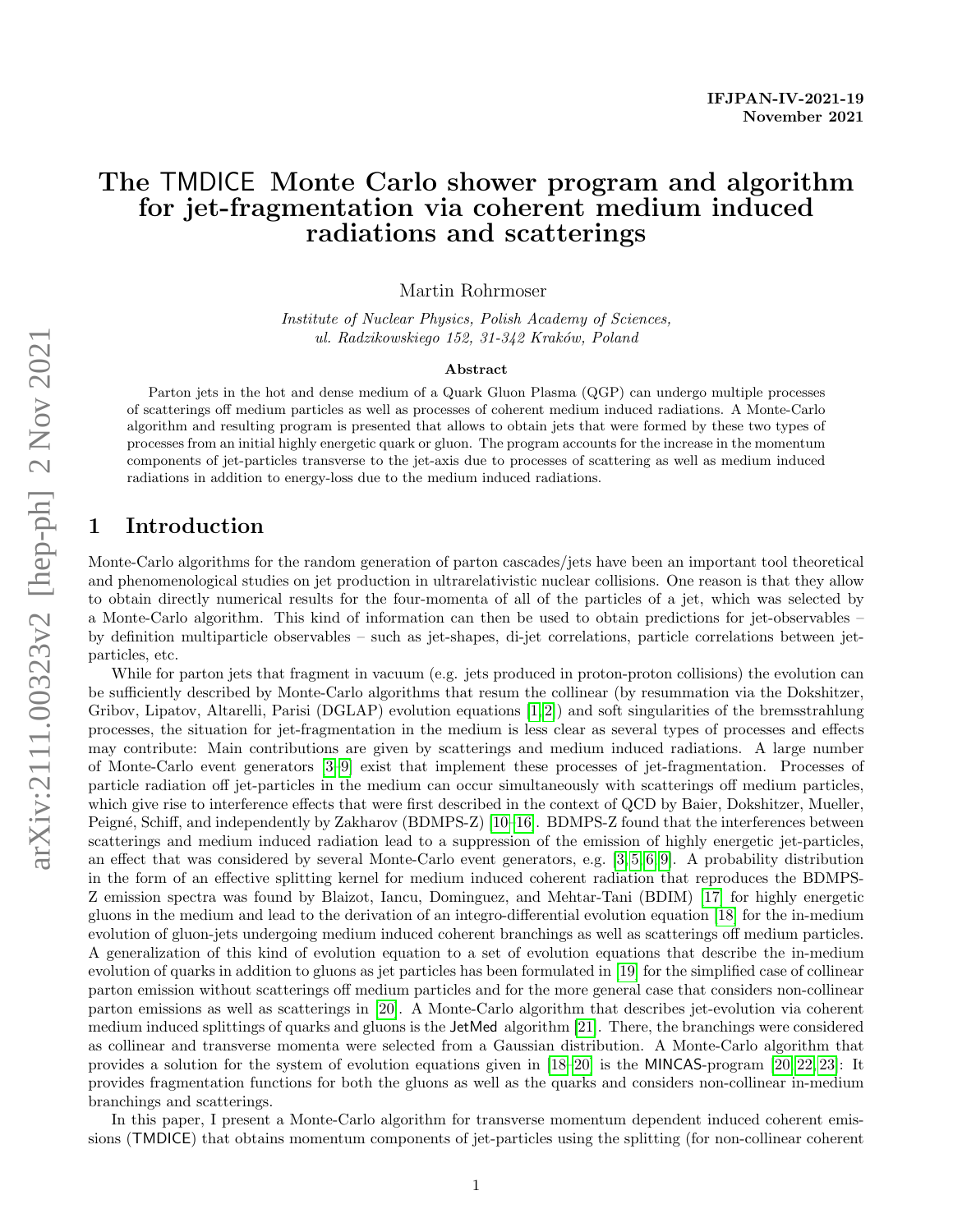# The TMDICE Monte Carlo shower program and algorithm for jet-fragmentation via coherent medium induced radiations and scatterings

Martin Rohrmoser

Institute of Nuclear Physics, Polish Academy of Sciences, ul. Radzikowskiego 152, 31-342 Kraków, Poland

#### Abstract

Parton jets in the hot and dense medium of a Quark Gluon Plasma (QGP) can undergo multiple processes of scatterings off medium particles as well as processes of coherent medium induced radiations. A Monte-Carlo algorithm and resulting program is presented that allows to obtain jets that were formed by these two types of processes from an initial highly energetic quark or gluon. The program accounts for the increase in the momentum components of jet-particles transverse to the jet-axis due to processes of scattering as well as medium induced radiations in addition to energy-loss due to the medium induced radiations.

### 1 Introduction

Monte-Carlo algorithms for the random generation of parton cascades/jets have been an important tool theoretical and phenomenological studies on jet production in ultrarelativistic nuclear collisions. One reason is that they allow to obtain directly numerical results for the four-momenta of all of the particles of a jet, which was selected by a Monte-Carlo algorithm. This kind of information can then be used to obtain predictions for jet-observables – by definition multiparticle observables – such as jet-shapes, di-jet correlations, particle correlations between jetparticles, etc.

While for parton jets that fragment in vacuum (e.g. jets produced in proton-proton collisions) the evolution can be sufficiently described by Monte-Carlo algorithms that resum the collinear (by resummation via the Dokshitzer, Gribov, Lipatov, Altarelli, Parisi (DGLAP) evolution equations [\[1,](#page-14-0) [2\]](#page-14-1)) and soft singularities of the bremsstrahlung processes, the situation for jet-fragmentation in the medium is less clear as several types of processes and effects may contribute: Main contributions are given by scatterings and medium induced radiations. A large number of Monte-Carlo event generators [\[3](#page-14-2)[–9\]](#page-14-3) exist that implement these processes of jet-fragmentation. Processes of particle radiation off jet-particles in the medium can occur simultaneously with scatterings off medium particles, which give rise to interference effects that were first described in the context of QCD by Baier, Dokshitzer, Mueller, Peigné, Schiff, and independently by Zakharov (BDMPS-Z) [\[10–](#page-14-4)[16\]](#page-14-5). BDMPS-Z found that the interferences between scatterings and medium induced radiation lead to a suppression of the emission of highly energetic jet-particles, an effect that was considered by several Monte-Carlo event generators, e.g. [\[3,](#page-14-2) [5,](#page-14-6) [6,](#page-14-7) [9\]](#page-14-3). A probability distribution in the form of an effective splitting kernel for medium induced coherent radiation that reproduces the BDMPS-Z emission spectra was found by Blaizot, Iancu, Dominguez, and Mehtar-Tani (BDIM) [\[17\]](#page-14-8) for highly energetic gluons in the medium and lead to the derivation of an integro-differential evolution equation [\[18\]](#page-14-9) for the in-medium evolution of gluon-jets undergoing medium induced coherent branchings as well as scatterings off medium particles. A generalization of this kind of evolution equation to a set of evolution equations that describe the in-medium evolution of quarks in addition to gluons as jet particles has been formulated in [\[19\]](#page-14-10) for the simplified case of collinear parton emission without scatterings off medium particles and for the more general case that considers non-collinear parton emissions as well as scatterings in [\[20\]](#page-14-11). A Monte-Carlo algorithm that describes jet-evolution via coherent medium induced splittings of quarks and gluons is the JetMed algorithm [\[21\]](#page-14-12). There, the branchings were considered as collinear and transverse momenta were selected from a Gaussian distribution. A Monte-Carlo algorithm that provides a solution for the system of evolution equations given in [\[18–](#page-14-9)[20\]](#page-14-11) is the MINCAS-program [\[20,](#page-14-11) [22,](#page-14-13) [23\]](#page-15-0): It provides fragmentation functions for both the gluons as well as the quarks and considers non-collinear in-medium branchings and scatterings.

In this paper, I present a Monte-Carlo algorithm for transverse momentum dependent induced coherent emissions (TMDICE) that obtains momentum components of jet-particles using the splitting (for non-collinear coherent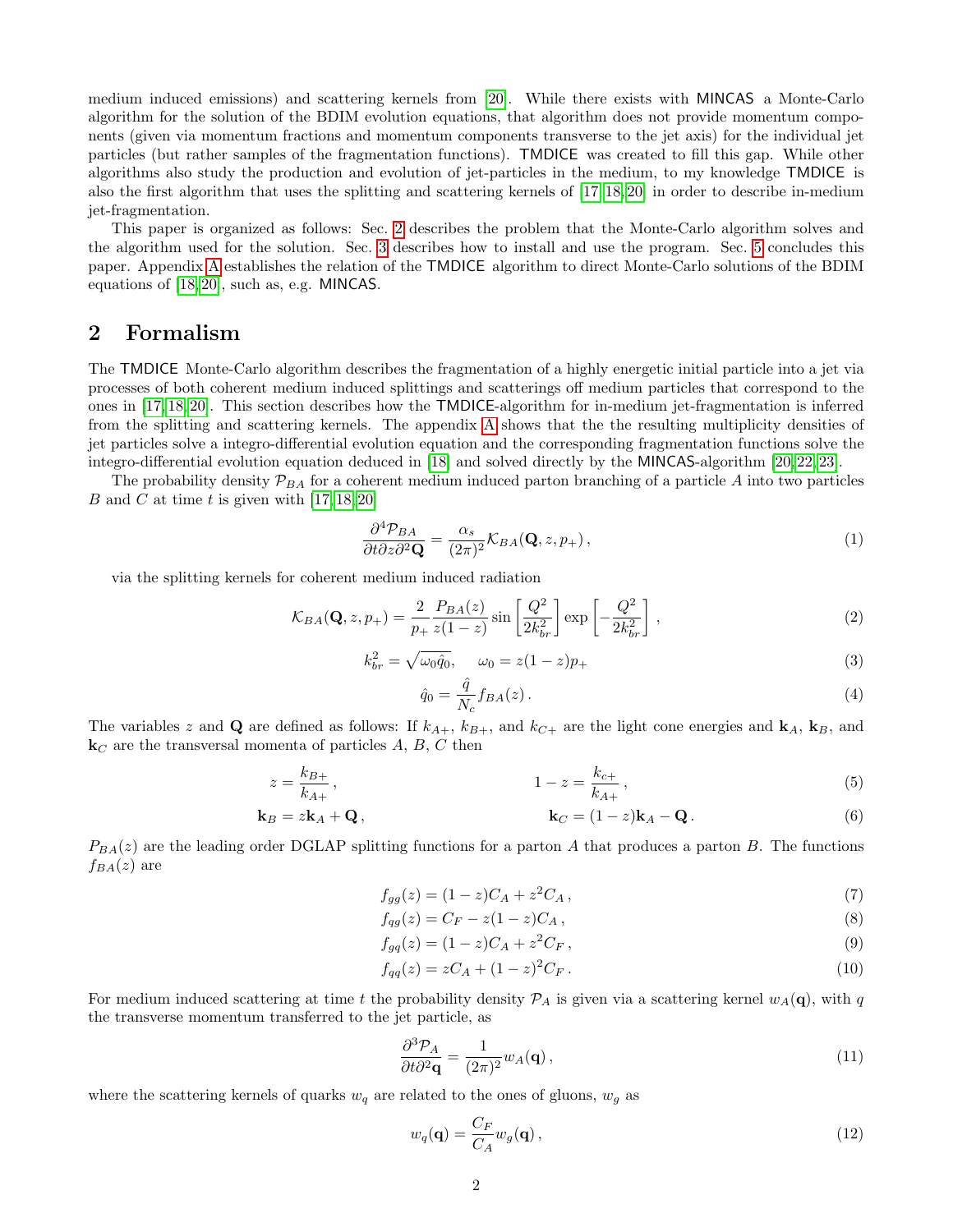medium induced emissions) and scattering kernels from [\[20\]](#page-14-11). While there exists with MINCAS a Monte-Carlo algorithm for the solution of the BDIM evolution equations, that algorithm does not provide momentum components (given via momentum fractions and momentum components transverse to the jet axis) for the individual jet particles (but rather samples of the fragmentation functions). TMDICE was created to fill this gap. While other algorithms also study the production and evolution of jet-particles in the medium, to my knowledge TMDICE is also the first algorithm that uses the splitting and scattering kernels of [\[17,](#page-14-8) [18,](#page-14-9) [20\]](#page-14-11) in order to describe in-medium jet-fragmentation.

This paper is organized as follows: Sec. [2](#page-1-0) describes the problem that the Monte-Carlo algorithm solves and the algorithm used for the solution. Sec. [3](#page-6-0) describes how to install and use the program. Sec. [5](#page-10-0) concludes this paper. Appendix [A](#page-10-1) establishes the relation of the TMDICE algorithm to direct Monte-Carlo solutions of the BDIM equations of [\[18,](#page-14-9) [20\]](#page-14-11), such as, e.g. MINCAS.

## <span id="page-1-0"></span>2 Formalism

The TMDICE Monte-Carlo algorithm describes the fragmentation of a highly energetic initial particle into a jet via processes of both coherent medium induced splittings and scatterings off medium particles that correspond to the ones in [\[17,](#page-14-8) [18,](#page-14-9) [20\]](#page-14-11). This section describes how the TMDICE-algorithm for in-medium jet-fragmentation is inferred from the splitting and scattering kernels. The appendix [A](#page-10-1) shows that the the resulting multiplicity densities of jet particles solve a integro-differential evolution equation and the corresponding fragmentation functions solve the integro-differential evolution equation deduced in [\[18\]](#page-14-9) and solved directly by the MINCAS-algorithm [\[20,](#page-14-11) [22,](#page-14-13) [23\]](#page-15-0).

The probability density  $\mathcal{P}_{BA}$  for a coherent medium induced parton branching of a particle A into two particles B and C at time t is given with  $[17, 18, 20]$  $[17, 18, 20]$  $[17, 18, 20]$ 

$$
\frac{\partial^4 \mathcal{P}_{BA}}{\partial t \partial z \partial^2 \mathbf{Q}} = \frac{\alpha_s}{(2\pi)^2} \mathcal{K}_{BA}(\mathbf{Q}, z, p_+), \qquad (1)
$$

via the splitting kernels for coherent medium induced radiation

<span id="page-1-1"></span>
$$
\mathcal{K}_{BA}(\mathbf{Q}, z, p_+) = \frac{2}{p_+} \frac{P_{BA}(z)}{z(1-z)} \sin\left[\frac{Q^2}{2k_{br}^2}\right] \exp\left[-\frac{Q^2}{2k_{br}^2}\right],\tag{2}
$$

$$
k_{br}^{2} = \sqrt{\omega_{0} \hat{q}_{0}}, \quad \omega_{0} = z(1-z)p_{+}
$$
\n(3)

$$
\hat{q}_0 = \frac{\hat{q}}{N_c} f_{BA}(z) \,. \tag{4}
$$

The variables z and Q are defined as follows: If  $k_{A+}$ ,  $k_{B+}$ , and  $k_{C+}$  are the light cone energies and  $\mathbf{k}_A$ ,  $\mathbf{k}_B$ , and  $\mathbf{k}_C$  are the transversal momenta of particles A, B, C then

$$
z = \frac{k_{B+}}{k_{A+}}, \qquad 1 - z = \frac{k_{c+}}{k_{A+}}, \qquad (5)
$$

$$
\mathbf{k}_B = z\mathbf{k}_A + \mathbf{Q}, \qquad \qquad \mathbf{k}_C = (1-z)\mathbf{k}_A - \mathbf{Q}. \qquad (6)
$$

 $P_{BA}(z)$  are the leading order DGLAP splitting functions for a parton A that produces a parton B. The functions  $f_{BA}(z)$  are

$$
f_{gg}(z) = (1 - z)C_A + z^2 C_A, \qquad (7)
$$

$$
f_{qg}(z) = C_F - z(1-z)C_A , \t\t(8)
$$

$$
f_{gg}(z) = (1 - z)C_A + z^2 C_F,
$$
\n(9)

$$
f_{qq}(z) = zC_A + (1-z)^2 C_F.
$$
\n(10)

For medium induced scattering at time t the probability density  $P_A$  is given via a scattering kernel  $w_A(q)$ , with q the transverse momentum transferred to the jet particle, as

$$
\frac{\partial^3 \mathcal{P}_A}{\partial t \partial^2 \mathbf{q}} = \frac{1}{(2\pi)^2} w_A(\mathbf{q}),\tag{11}
$$

where the scattering kernels of quarks  $w_q$  are related to the ones of gluons,  $w_q$  as

$$
w_q(\mathbf{q}) = \frac{C_F}{C_A} w_g(\mathbf{q}),\tag{12}
$$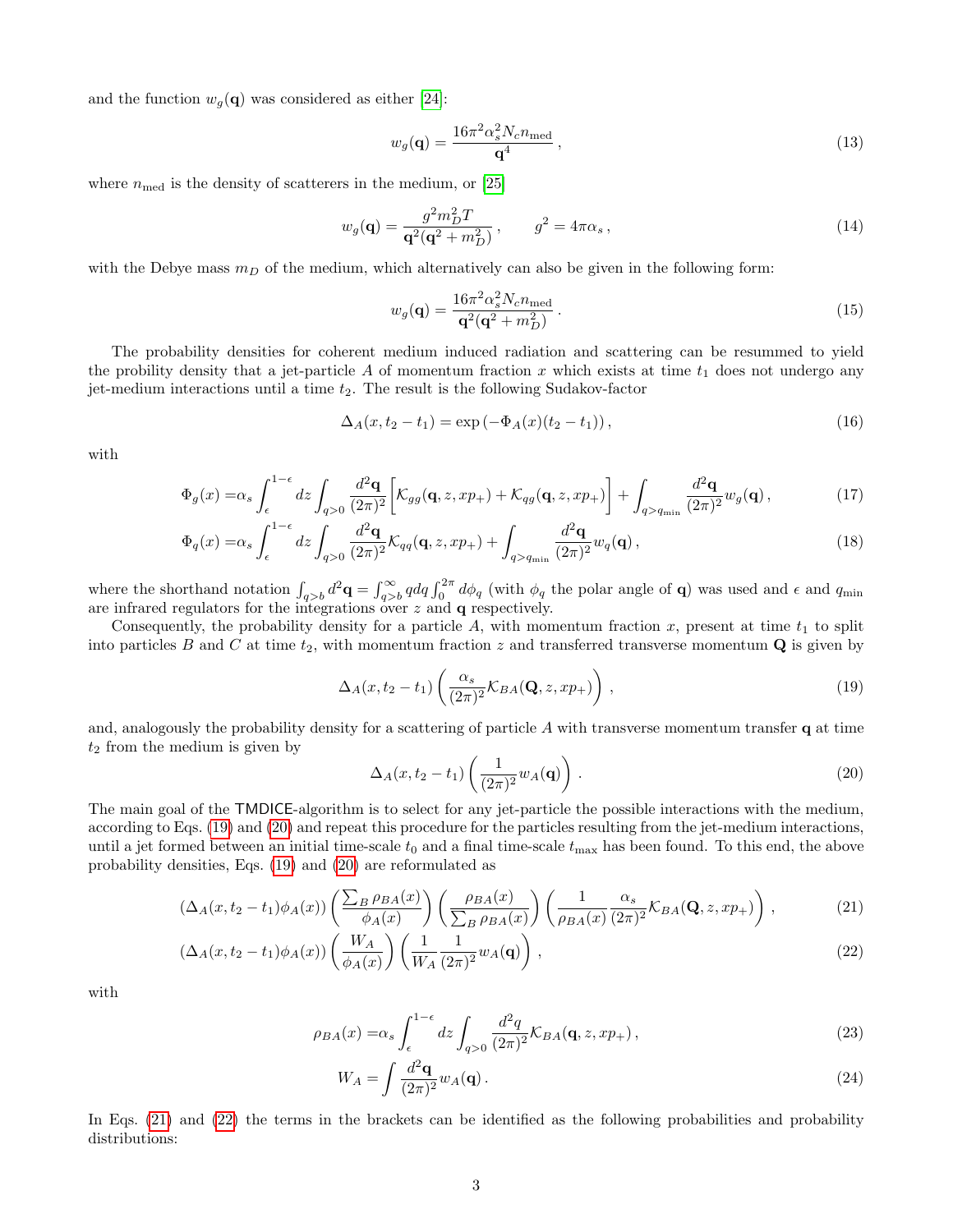and the function  $w_g(\mathbf{q})$  was considered as either [\[24\]](#page-15-1):

<span id="page-2-4"></span>
$$
w_g(\mathbf{q}) = \frac{16\pi^2 \alpha_s^2 N_c n_{\text{med}}}{\mathbf{q}^4} \,, \tag{13}
$$

where  $n_{\text{med}}$  is the density of scatterers in the medium, or [\[25\]](#page-15-2)

<span id="page-2-6"></span>
$$
w_g(\mathbf{q}) = \frac{g^2 m_D^2 T}{\mathbf{q}^2 (\mathbf{q}^2 + m_D^2)}, \qquad g^2 = 4\pi \alpha_s, \qquad (14)
$$

with the Debye mass  $m<sub>D</sub>$  of the medium, which alternatively can also be given in the following form:

<span id="page-2-5"></span>
$$
w_g(\mathbf{q}) = \frac{16\pi^2 \alpha_s^2 N_c n_{\text{med}}}{\mathbf{q}^2 (\mathbf{q}^2 + m_D^2)}.
$$
\n
$$
(15)
$$

The probability densities for coherent medium induced radiation and scattering can be resummed to yield the probility density that a jet-particle A of momentum fraction x which exists at time  $t_1$  does not undergo any jet-medium interactions until a time  $t_2$ . The result is the following Sudakov-factor

$$
\Delta_A(x, t_2 - t_1) = \exp(-\Phi_A(x)(t_2 - t_1)), \qquad (16)
$$

with

$$
\Phi_g(x) = \alpha_s \int_{\epsilon}^{1-\epsilon} dz \int_{q>0} \frac{d^2 \mathbf{q}}{(2\pi)^2} \left[ \mathcal{K}_{gg}(\mathbf{q}, z, x p_+) + \mathcal{K}_{qg}(\mathbf{q}, z, x p_+) \right] + \int_{q>q_{\text{min}}} \frac{d^2 \mathbf{q}}{(2\pi)^2} w_g(\mathbf{q}), \tag{17}
$$

$$
\Phi_q(x) = \alpha_s \int_{\epsilon}^{1-\epsilon} dz \int_{q>0} \frac{d^2 \mathbf{q}}{(2\pi)^2} \mathcal{K}_{qq}(\mathbf{q}, z, xp_+) + \int_{q>q_{\min}} \frac{d^2 \mathbf{q}}{(2\pi)^2} w_q(\mathbf{q}), \tag{18}
$$

where the shorthand notation  $\int_{q>b} d^2\mathbf{q} = \int_{q>b}^{\infty} q dq \int_0^{2\pi} d\phi_q$  (with  $\phi_q$  the polar angle of **q**) was used and  $\epsilon$  and  $q_{\min}$ are infrared regulators for the integrations over  $z$  and  $q$  respectively.

Consequently, the probability density for a particle  $A$ , with momentum fraction  $x$ , present at time  $t_1$  to split into particles B and C at time  $t_2$ , with momentum fraction z and transferred transverse momentum  $\bf{Q}$  is given by

<span id="page-2-0"></span>
$$
\Delta_A(x, t_2 - t_1) \left( \frac{\alpha_s}{(2\pi)^2} \mathcal{K}_{BA}(\mathbf{Q}, z, x p_+) \right) , \qquad (19)
$$

and, analogously the probability density for a scattering of particle  $A$  with transverse momentum transfer q at time  $t_2$  from the medium is given by

<span id="page-2-3"></span><span id="page-2-2"></span><span id="page-2-1"></span>
$$
\Delta_A(x, t_2 - t_1) \left( \frac{1}{(2\pi)^2} w_A(\mathbf{q}) \right) . \tag{20}
$$

The main goal of the TMDICE-algorithm is to select for any jet-particle the possible interactions with the medium, according to Eqs. [\(19\)](#page-2-0) and [\(20\)](#page-2-1) and repeat this procedure for the particles resulting from the jet-medium interactions, until a jet formed between an initial time-scale  $t_0$  and a final time-scale  $t_{\text{max}}$  has been found. To this end, the above probability densities, Eqs. [\(19\)](#page-2-0) and [\(20\)](#page-2-1) are reformulated as

$$
\left(\Delta_A(x,t_2-t_1)\phi_A(x)\right)\left(\frac{\sum_B \rho_{BA}(x)}{\phi_A(x)}\right)\left(\frac{\rho_{BA}(x)}{\sum_B \rho_{BA}(x)}\right)\left(\frac{1}{\rho_{BA}(x)}\frac{\alpha_s}{(2\pi)^2}\mathcal{K}_{BA}(\mathbf{Q},z,xp_+)\right),\tag{21}
$$

$$
\left(\Delta_A(x,t_2-t_1)\phi_A(x)\right)\left(\frac{W_A}{\phi_A(x)}\right)\left(\frac{1}{W_A}\frac{1}{(2\pi)^2}w_A(\mathbf{q})\right),\tag{22}
$$

with

$$
\rho_{BA}(x) = \alpha_s \int_{\epsilon}^{1-\epsilon} dz \int_{q>0} \frac{d^2q}{(2\pi)^2} \mathcal{K}_{BA}(\mathbf{q}, z, xp_+), \qquad (23)
$$

$$
W_A = \int \frac{d^2 \mathbf{q}}{(2\pi)^2} w_A(\mathbf{q}). \tag{24}
$$

In Eqs. [\(21\)](#page-2-2) and [\(22\)](#page-2-3) the terms in the brackets can be identified as the following probabilities and probability distributions: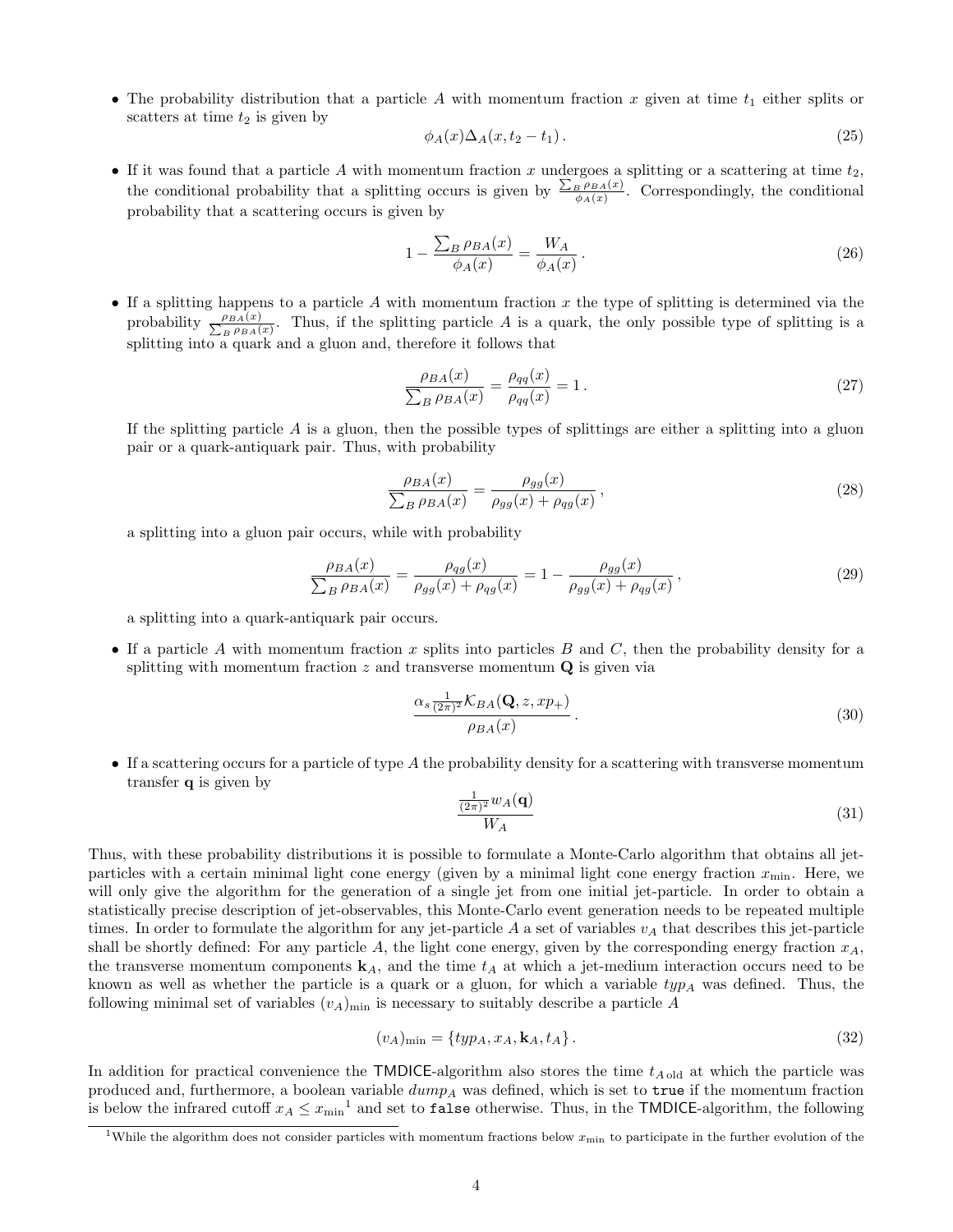• The probability distribution that a particle A with momentum fraction x given at time  $t_1$  either splits or scatters at time  $t_2$  is given by

<span id="page-3-0"></span>
$$
\phi_A(x)\Delta_A(x,t_2-t_1). \tag{25}
$$

• If it was found that a particle A with momentum fraction x undergoes a splitting or a scattering at time  $t_2$ , the conditional probability that a splitting occurs is given by  $\frac{\sum_{B} \rho_{BA}(x)}{\phi_A(x)}$ . Correspondingly, the conditional probability that a scattering occurs is given by

$$
1 - \frac{\sum_{B} \rho_{BA}(x)}{\phi_A(x)} = \frac{W_A}{\phi_A(x)}.
$$
\n
$$
(26)
$$

• If a splitting happens to a particle A with momentum fraction x the type of splitting is determined via the probability  $\frac{\rho_{BA}(x)}{\sum_{B} \rho_{BA}(x)}$  $\frac{\rho_{BA}(x)}{\rho_{BA}(x)}$ . Thus, if the splitting particle A is a quark, the only possible type of splitting is a splitting into a quark and a gluon and, therefore it follows that

$$
\frac{\rho_{BA}(x)}{\sum_{B} \rho_{BA}(x)} = \frac{\rho_{qq}(x)}{\rho_{qq}(x)} = 1.
$$
\n(27)

If the splitting particle  $A$  is a gluon, then the possible types of splittings are either a splitting into a gluon pair or a quark-antiquark pair. Thus, with probability

$$
\frac{\rho_{BA}(x)}{\sum_B \rho_{BA}(x)} = \frac{\rho_{gg}(x)}{\rho_{gg}(x) + \rho_{qg}(x)},\tag{28}
$$

a splitting into a gluon pair occurs, while with probability

$$
\frac{\rho_{BA}(x)}{\sum_{B} \rho_{BA}(x)} = \frac{\rho_{qg}(x)}{\rho_{gg}(x) + \rho_{qg}(x)} = 1 - \frac{\rho_{gg}(x)}{\rho_{gg}(x) + \rho_{qg}(x)},
$$
\n(29)

a splitting into a quark-antiquark pair occurs.

• If a particle A with momentum fraction  $x$  splits into particles  $B$  and  $C$ , then the probability density for a splitting with momentum fraction z and transverse momentum  $\mathbf Q$  is given via

$$
\frac{\alpha_s \frac{1}{(2\pi)^2} \mathcal{K}_{BA}(\mathbf{Q}, z, x p_+)}{\rho_{BA}(x)}.
$$
\n(30)

• If a scattering occurs for a particle of type A the probability density for a scattering with transverse momentum transfer q is given by

<span id="page-3-1"></span>
$$
\frac{\frac{1}{(2\pi)^2}w_A(\mathbf{q})}{W_A} \tag{31}
$$

Thus, with these probability distributions it is possible to formulate a Monte-Carlo algorithm that obtains all jetparticles with a certain minimal light cone energy (given by a minimal light cone energy fraction  $x_{\min}$ . Here, we will only give the algorithm for the generation of a single jet from one initial jet-particle. In order to obtain a statistically precise description of jet-observables, this Monte-Carlo event generation needs to be repeated multiple times. In order to formulate the algorithm for any jet-particle A a set of variables  $v_A$  that describes this jet-particle shall be shortly defined: For any particle A, the light cone energy, given by the corresponding energy fraction  $x_A$ , the transverse momentum components  $\mathbf{k}_A$ , and the time  $t_A$  at which a jet-medium interaction occurs need to be known as well as whether the particle is a quark or a gluon, for which a variable  $typ_A$  was defined. Thus, the following minimal set of variables  $(v_A)_{\text{min}}$  is necessary to suitably describe a particle A

$$
(v_A)_{\min} = \{ typ_A, x_A, \mathbf{k}_A, t_A \}.
$$
\n
$$
(32)
$$

In addition for practical convenience the TMDICE-algorithm also stores the time  $t_{A \text{ old}}$  at which the particle was produced and, furthermore, a boolean variable  $dump_A$  was defined, which is set to true if the momentum fraction is below the infrared cutoff  $x_A \leq x_{\text{min}}^{-1}$  and set to false otherwise. Thus, in the TMDICE-algorithm, the following

<sup>&</sup>lt;sup>1</sup>While the algorithm does not consider particles with momentum fractions below  $x_{\text{min}}$  to participate in the further evolution of the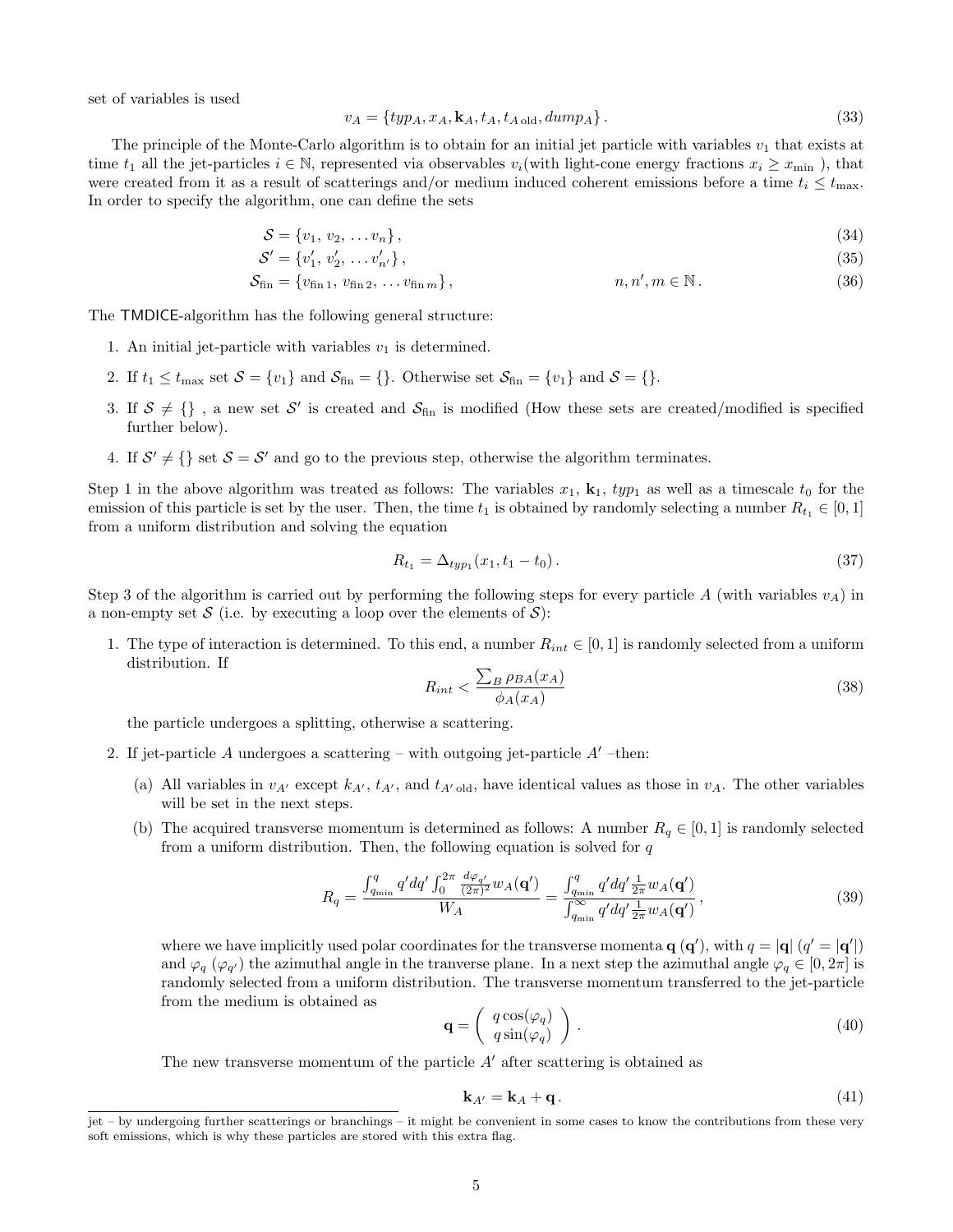set of variables is used

$$
v_A = \{typ_A, x_A, \mathbf{k}_A, t_A, t_{A \text{ old}}, dump_A\}.
$$
\n
$$
(33)
$$

The principle of the Monte-Carlo algorithm is to obtain for an initial jet particle with variables  $v_1$  that exists at time  $t_1$  all the jet-particles  $i \in \mathbb{N}$ , represented via observables  $v_i$  (with light-cone energy fractions  $x_i \geq x_{\min}$  ), that were created from it as a result of scatterings and/or medium induced coherent emissions before a time  $t_i \le t_{\text{max}}$ . In order to specify the algorithm, one can define the sets

$$
\mathcal{S} = \{v_1, v_2, \dots v_n\},\tag{34}
$$

$$
S' = \{v'_1, v'_2, \dots v'_{n'}\},\tag{35}
$$

$$
S_{\text{fin}} = \{v_{\text{fin }1}, v_{\text{fin }2}, \dots v_{\text{fin }m}\}, \qquad n, n', m \in \mathbb{N}.
$$
 (36)

The TMDICE-algorithm has the following general structure:

- 1. An initial jet-particle with variables  $v_1$  is determined.
- 2. If  $t_1 \le t_{\text{max}}$  set  $S = \{v_1\}$  and  $S_{\text{fin}} = \{\}$ . Otherwise set  $S_{\text{fin}} = \{v_1\}$  and  $S = \{\}$ .
- 3. If  $S \neq \{\}\$ , a new set S' is created and  $S_{fin}$  is modified (How these sets are created/modified is specified further below).
- 4. If  $S' \neq \{\}$  set  $S = S'$  and go to the previous step, otherwise the algorithm terminates.

Step 1 in the above algorithm was treated as follows: The variables  $x_1$ ,  $k_1$ ,  $typ_1$  as well as a timescale  $t_0$  for the emission of this particle is set by the user. Then, the time  $t_1$  is obtained by randomly selecting a number  $R_{t_1} \in [0,1]$ from a uniform distribution and solving the equation

$$
R_{t_1} = \Delta_{typ_1}(x_1, t_1 - t_0). \tag{37}
$$

Step 3 of the algorithm is carried out by performing the following steps for every particle A (with variables  $v_A$ ) in a non-empty set S (i.e. by executing a loop over the elements of  $S$ ):

1. The type of interaction is determined. To this end, a number  $R_{int} \in [0,1]$  is randomly selected from a uniform distribution. If

$$
R_{int} < \frac{\sum_{B} \rho_{BA}(x_A)}{\phi_A(x_A)}\tag{38}
$$

the particle undergoes a splitting, otherwise a scattering.

- 2. If jet-particle A undergoes a scattering with outgoing jet-particle  $A'$  –then:
	- (a) All variables in  $v_{A'}$  except  $k_{A'}$ ,  $t_{A'}$ , and  $t_{A' \text{old}}$ , have identical values as those in  $v_A$ . The other variables will be set in the next steps.
	- (b) The acquired transverse momentum is determined as follows: A number  $R_q \in [0, 1]$  is randomly selected from a uniform distribution. Then, the following equation is solved for  $q$

$$
R_{q} = \frac{\int_{q_{\min}}^{q} q' dq' \int_{0}^{2\pi} \frac{d\varphi_{q'}}{(2\pi)^{2}} w_{A}(\mathbf{q'})}{W_{A}} = \frac{\int_{q_{\min}}^{q} q' dq' \frac{1}{2\pi} w_{A}(\mathbf{q'})}{\int_{q_{\min}}^{\infty} q' dq' \frac{1}{2\pi} w_{A}(\mathbf{q'})},
$$
(39)

where we have implicitly used polar coordinates for the transverse momenta  $\mathbf{q}(\mathbf{q}')$ , with  $q = |\mathbf{q}| (q' = |\mathbf{q}'|)$ and  $\varphi_q$  ( $\varphi_{q'}$ ) the azimuthal angle in the tranverse plane. In a next step the azimuthal angle  $\varphi_q \in [0, 2\pi]$  is randomly selected from a uniform distribution. The transverse momentum transferred to the jet-particle from the medium is obtained as

$$
\mathbf{q} = \left(\begin{array}{c} q\cos(\varphi_q) \\ q\sin(\varphi_q) \end{array}\right). \tag{40}
$$

The new transverse momentum of the particle  $A'$  after scattering is obtained as

$$
\mathbf{k}_{A'} = \mathbf{k}_A + \mathbf{q} \,. \tag{41}
$$

jet – by undergoing further scatterings or branchings – it might be convenient in some cases to know the contributions from these very soft emissions, which is why these particles are stored with this extra flag.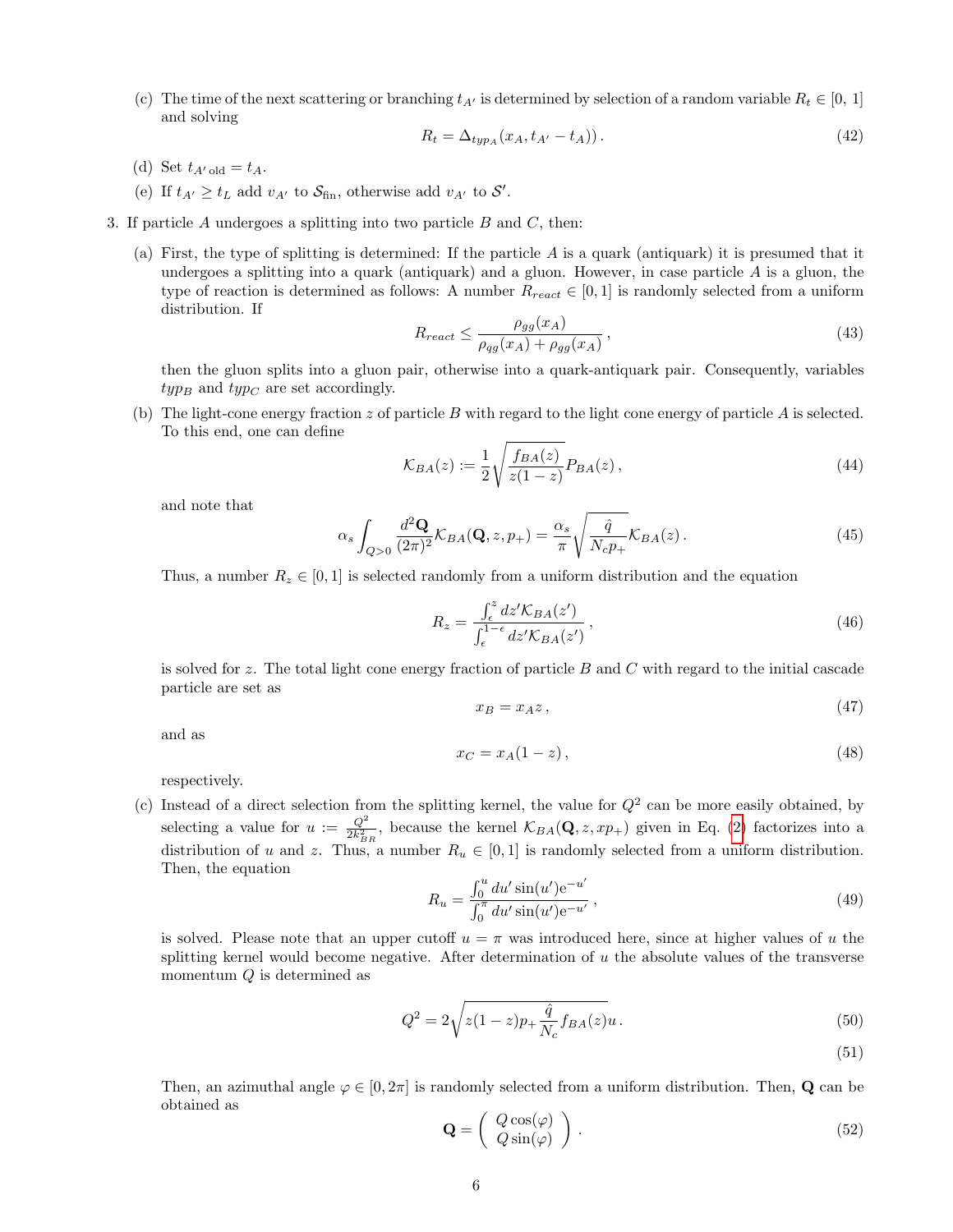(c) The time of the next scattering or branching  $t_{A'}$  is determined by selection of a random variable  $R_t \in [0, 1]$ and solving

$$
R_t = \Delta_{typ_A}(x_A, t_{A'} - t_A)). \tag{42}
$$

- (d) Set  $t_{A\text{old}} = t_A$ .
- (e) If  $t_{A'} \geq t_L$  add  $v_{A'}$  to  $S_{\text{fin}}$ , otherwise add  $v_{A'}$  to  $S'$ .
- 3. If particle  $A$  undergoes a splitting into two particle  $B$  and  $C$ , then:
	- (a) First, the type of splitting is determined: If the particle A is a quark (antiquark) it is presumed that it undergoes a splitting into a quark (antiquark) and a gluon. However, in case particle  $A$  is a gluon, the type of reaction is determined as follows: A number  $R_{react} \in [0,1]$  is randomly selected from a uniform distribution. If

$$
R_{react} \le \frac{\rho_{gg}(x_A)}{\rho_{qg}(x_A) + \rho_{gg}(x_A)},\tag{43}
$$

then the gluon splits into a gluon pair, otherwise into a quark-antiquark pair. Consequently, variables  $type_B$  and  $type_C$  are set accordingly.

(b) The light-cone energy fraction z of particle B with regard to the light cone energy of particle A is selected. To this end, one can define

$$
\mathcal{K}_{BA}(z) := \frac{1}{2} \sqrt{\frac{f_{BA}(z)}{z(1-z)}} P_{BA}(z) , \qquad (44)
$$

and note that

$$
\alpha_s \int_{Q>0} \frac{d^2 \mathbf{Q}}{(2\pi)^2} \mathcal{K}_{BA}(\mathbf{Q}, z, p_+) = \frac{\alpha_s}{\pi} \sqrt{\frac{\hat{q}}{N_c p_+}} \mathcal{K}_{BA}(z) \,. \tag{45}
$$

Thus, a number  $R_z \in [0, 1]$  is selected randomly from a uniform distribution and the equation

$$
R_z = \frac{\int_{\epsilon}^{z} dz' \mathcal{K}_{BA}(z')}{\int_{\epsilon}^{1-\epsilon} dz' \mathcal{K}_{BA}(z')} \,, \tag{46}
$$

is solved for z. The total light cone energy fraction of particle B and C with regard to the initial cascade particle are set as

$$
x_B = x_A z \,,\tag{47}
$$

and as

$$
x_C = x_A(1-z),\tag{48}
$$

respectively.

(c) Instead of a direct selection from the splitting kernel, the value for  $Q^2$  can be more easily obtained, by selecting a value for  $u := \frac{Q^2}{2h^2}$  $\frac{Q^2}{2k_{BR}^2}$ , because the kernel  $\mathcal{K}_{BA}(\mathbf{Q}, z, xp_+)$  given in Eq. [\(2\)](#page-1-1) factorizes into a distribution of u and z. Thus, a number  $R_u \in [0,1]$  is randomly selected from a uniform distribution. Then, the equation

$$
R_u = \frac{\int_0^u du' \sin(u') e^{-u'}}{\int_0^u du' \sin(u') e^{-u'}},
$$
\n(49)

is solved. Please note that an upper cutoff  $u = \pi$  was introduced here, since at higher values of u the splitting kernel would become negative. After determination of  $u$  the absolute values of the transverse momentum  $Q$  is determined as

$$
Q^{2} = 2\sqrt{z(1-z)p + \frac{\hat{q}}{N_c}f_{BA}(z)}u.
$$
\n(50)

(51)

Then, an azimuthal angle  $\varphi \in [0, 2\pi]$  is randomly selected from a uniform distribution. Then, **Q** can be obtained as

$$
\mathbf{Q} = \left( \begin{array}{c} Q \cos(\varphi) \\ Q \sin(\varphi) \end{array} \right). \tag{52}
$$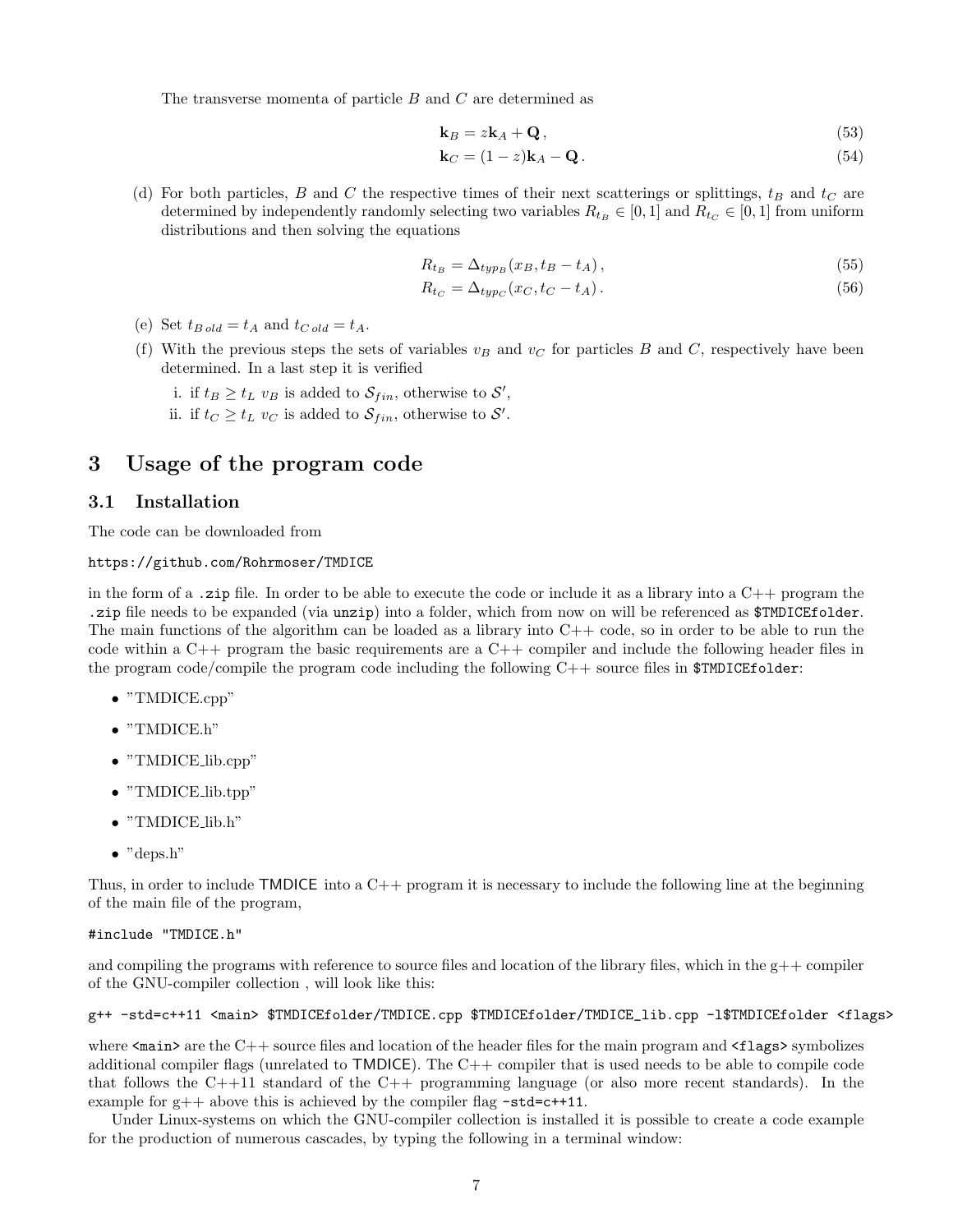The transverse momenta of particle B and C are determined as

$$
\mathbf{k}_B = z \mathbf{k}_A + \mathbf{Q},\tag{53}
$$

$$
\mathbf{k}_C = (1-z)\mathbf{k}_A - \mathbf{Q}.\tag{54}
$$

(d) For both particles, B and C the respective times of their next scatterings or splittings,  $t_B$  and  $t_C$  are determined by independently randomly selecting two variables  $R_{t_B} \in [0, 1]$  and  $R_{t_C} \in [0, 1]$  from uniform distributions and then solving the equations

$$
R_{t_B} = \Delta_{typ_B}(x_B, t_B - t_A), \qquad (55)
$$

$$
R_{tc} = \Delta_{type}(x_C, t_C - t_A). \tag{56}
$$

- (e) Set  $t_{B \, old} = t_A$  and  $t_{C \, old} = t_A$ .
- (f) With the previous steps the sets of variables  $v_B$  and  $v_C$  for particles B and C, respectively have been determined. In a last step it is verified
	- i. if  $t_B \ge t_L v_B$  is added to  $\mathcal{S}_{fin}$ , otherwise to  $\mathcal{S}'$ , ii. if  $t_C \geq t_L v_C$  is added to  $\mathcal{S}_{fin}$ , otherwise to  $\mathcal{S}'$ .

## <span id="page-6-0"></span>3 Usage of the program code

#### 3.1 Installation

The code can be downloaded from

#### https://github.com/Rohrmoser/TMDICE

in the form of a .zip file. In order to be able to execute the code or include it as a library into a C++ program the .zip file needs to be expanded (via unzip) into a folder, which from now on will be referenced as  $\texttt{STMICEfolder}.$ The main functions of the algorithm can be loaded as a library into  $C++$  code, so in order to be able to run the code within a  $C_{++}$  program the basic requirements are a  $C_{++}$  compiler and include the following header files in the program code/compile the program code including the following  $C++$  source files in  $$TMDICEfolder:$ 

- "TMDICE.cpp"
- "TMDICE.h"
- "TMDICE lib.cpp"
- "TMDICE<sub>lib.tpp</sub>"
- "TMDICE lib.h"
- "deps.h"

Thus, in order to include  $\textsf{TMDICE}$  into a  $\textsf{C++}$  program it is necessary to include the following line at the beginning of the main file of the program,

#### #include "TMDICE.h"

and compiling the programs with reference to source files and location of the library files, which in the  $g++$  compiler of the GNU-compiler collection , will look like this:

#### g++ -std=c++11 <main> \$TMDICEfolder/TMDICE.cpp \$TMDICEfolder/TMDICE\_lib.cpp -l\$TMDICEfolder <flags>

where  $\epsilon$  main > are the C++ source files and location of the header files for the main program and  $\epsilon$ **flags** > symbolizes additional compiler flags (unrelated to TMDICE). The C++ compiler that is used needs to be able to compile code that follows the C++11 standard of the C++ programming language (or also more recent standards). In the example for  $g++$  above this is achieved by the compiler flag  $-std=c++11$ .

Under Linux-systems on which the GNU-compiler collection is installed it is possible to create a code example for the production of numerous cascades, by typing the following in a terminal window: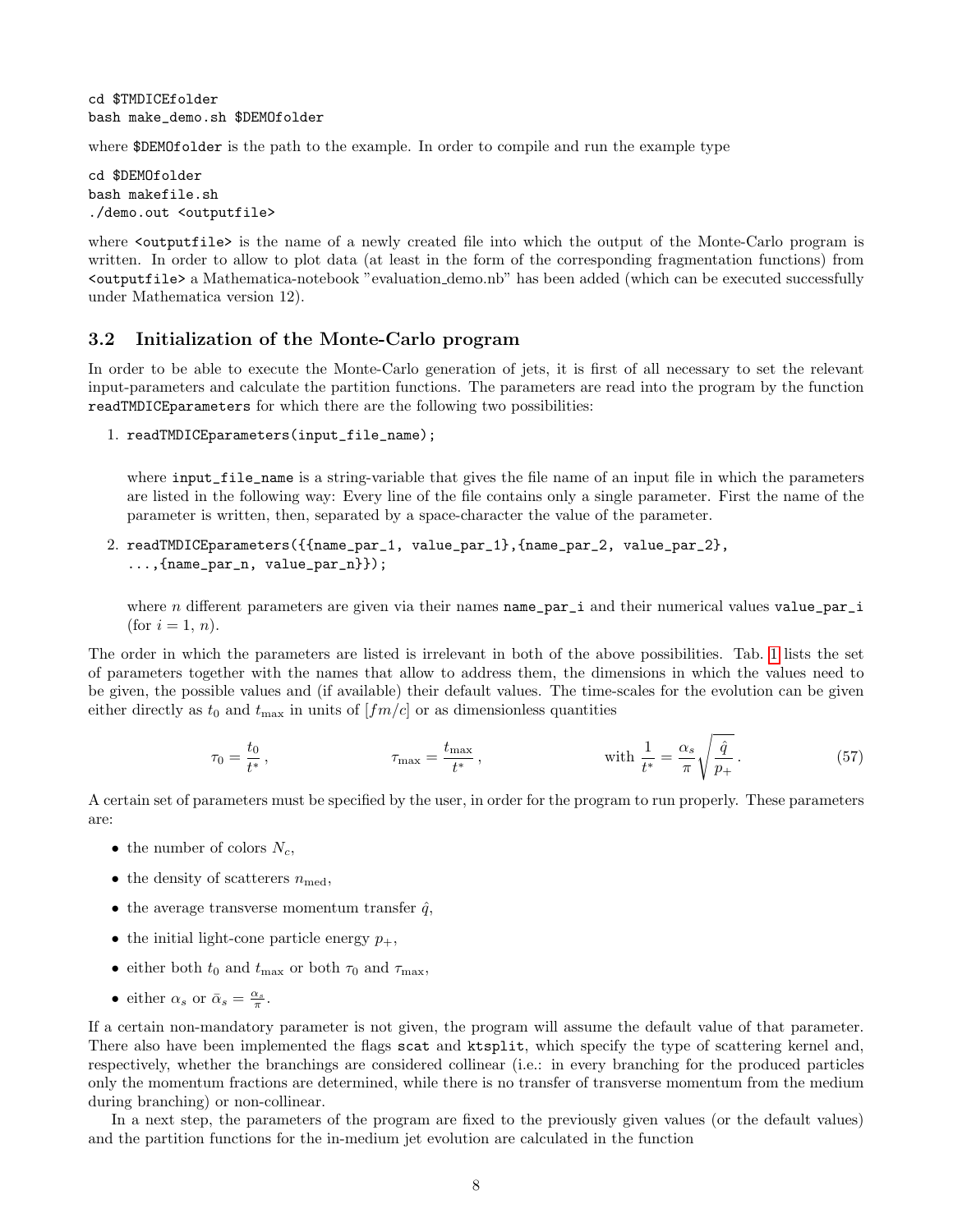cd \$TMDICEfolder bash make\_demo.sh \$DEMOfolder

where \$DEMOfolder is the path to the example. In order to compile and run the example type

cd \$DEMOfolder bash makefile.sh ./demo.out <outputfile>

where  $\zeta$  surputfile is the name of a newly created file into which the output of the Monte-Carlo program is written. In order to allow to plot data (at least in the form of the corresponding fragmentation functions) from <outputfile> a Mathematica-notebook "evaluation demo.nb" has been added (which can be executed successfully under Mathematica version 12).

#### 3.2 Initialization of the Monte-Carlo program

In order to be able to execute the Monte-Carlo generation of jets, it is first of all necessary to set the relevant input-parameters and calculate the partition functions. The parameters are read into the program by the function readTMDICEparameters for which there are the following two possibilities:

1. readTMDICEparameters(input\_file\_name);

where input\_file\_name is a string-variable that gives the file name of an input file in which the parameters are listed in the following way: Every line of the file contains only a single parameter. First the name of the parameter is written, then, separated by a space-character the value of the parameter.

2. readTMDICEparameters({{name\_par\_1, value\_par\_1},{name\_par\_2, value\_par\_2}, ...,{name\_par\_n, value\_par\_n}});

where n different parameters are given via their names  $name\_par\_i$  and their numerical values value\_par\_i (for  $i = 1, n$ ).

The order in which the parameters are listed is irrelevant in both of the above possibilities. Tab. [1](#page-8-0) lists the set of parameters together with the names that allow to address them, the dimensions in which the values need to be given, the possible values and (if available) their default values. The time-scales for the evolution can be given either directly as  $t_0$  and  $t_{\text{max}}$  in units of  $[fm/c]$  or as dimensionless quantities

$$
\tau_0 = \frac{t_0}{t^*}, \qquad \tau_{\text{max}} = \frac{t_{\text{max}}}{t^*}, \qquad \text{with } \frac{1}{t^*} = \frac{\alpha_s}{\pi} \sqrt{\frac{\hat{q}}{p_+}}.
$$
 (57)

A certain set of parameters must be specified by the user, in order for the program to run properly. These parameters are:

- the number of colors  $N_c$ ,
- the density of scatterers  $n_{\text{med}}$ ,
- the average transverse momentum transfer  $\hat{q}$ ,
- the initial light-cone particle energy  $p_+$ ,
- either both  $t_0$  and  $t_{\text{max}}$  or both  $\tau_0$  and  $\tau_{\text{max}}$ ,
- either  $\alpha_s$  or  $\bar{\alpha}_s = \frac{\alpha_s}{\pi}$ .

If a certain non-mandatory parameter is not given, the program will assume the default value of that parameter. There also have been implemented the flags scat and ktsplit, which specify the type of scattering kernel and, respectively, whether the branchings are considered collinear (i.e.: in every branching for the produced particles only the momentum fractions are determined, while there is no transfer of transverse momentum from the medium during branching) or non-collinear.

In a next step, the parameters of the program are fixed to the previously given values (or the default values) and the partition functions for the in-medium jet evolution are calculated in the function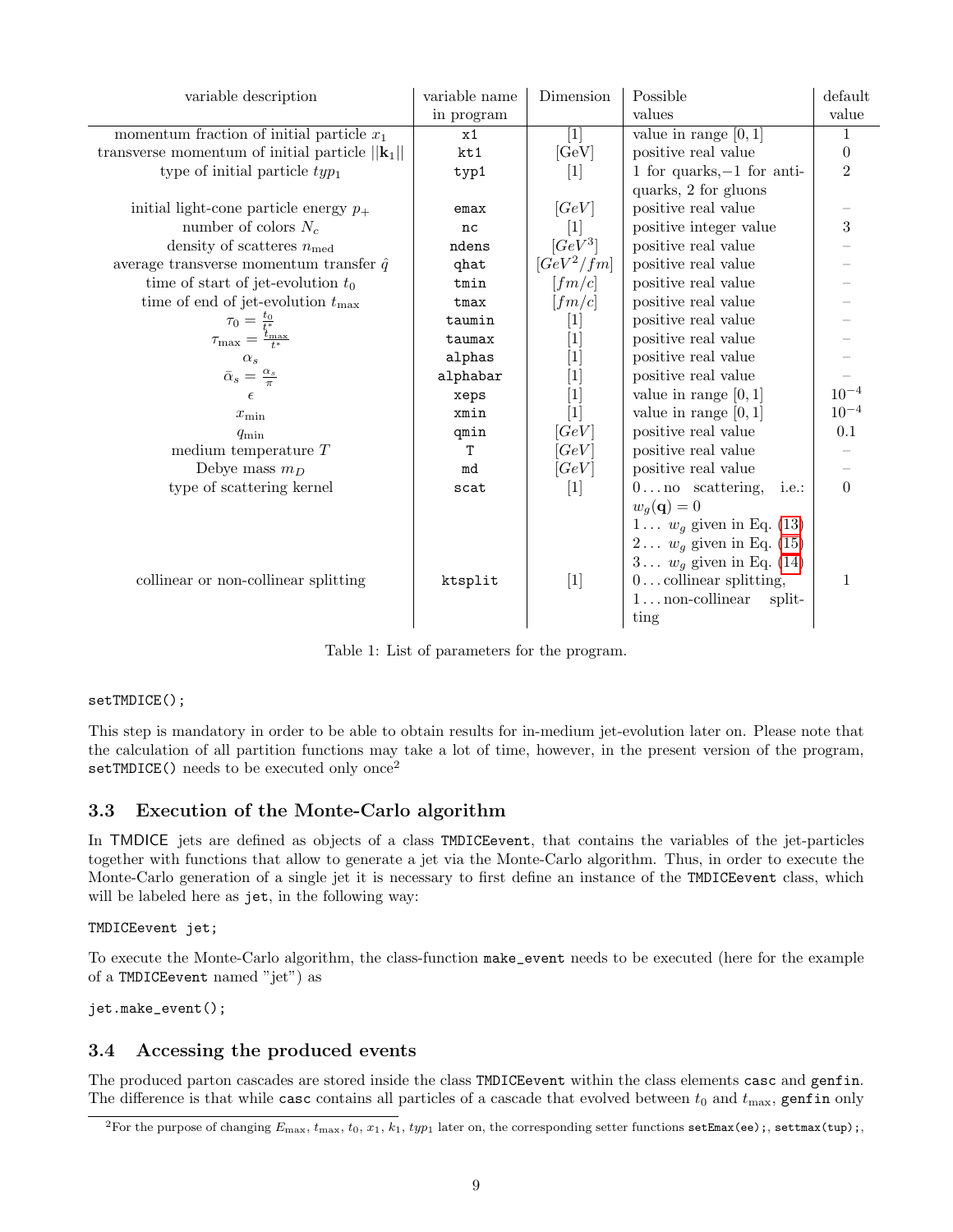| variable description                                                   | variable name | Dimension                                                                                                                                                                                                                                                                                                        | Possible                                  | default          |
|------------------------------------------------------------------------|---------------|------------------------------------------------------------------------------------------------------------------------------------------------------------------------------------------------------------------------------------------------------------------------------------------------------------------|-------------------------------------------|------------------|
|                                                                        | in program    |                                                                                                                                                                                                                                                                                                                  | values                                    | value            |
| momentum fraction of initial particle $x_1$                            | x1            | $[1]$                                                                                                                                                                                                                                                                                                            | value in range $[0, 1]$                   | 1                |
| transverse momentum of initial particle $  \mathbf{k}_1  $             | kt1           | [GeV]                                                                                                                                                                                                                                                                                                            | positive real value                       | $\boldsymbol{0}$ |
| type of initial particle $typ_1$                                       | typ1          | $[1]$                                                                                                                                                                                                                                                                                                            | 1 for quarks, $-1$ for anti-              | $\overline{2}$   |
|                                                                        |               |                                                                                                                                                                                                                                                                                                                  | quarks, 2 for gluons                      |                  |
| initial light-cone particle energy $p_+$                               | emax          | [GeV]                                                                                                                                                                                                                                                                                                            | positive real value                       |                  |
| number of colors $N_c$                                                 | nc            | $[1]$                                                                                                                                                                                                                                                                                                            | positive integer value                    | 3                |
| density of scatteres $n_{\text{med}}$                                  | ndens         | $[GeV^3]$                                                                                                                                                                                                                                                                                                        | positive real value                       |                  |
| average transverse momentum transfer $\hat{q}$                         | qhat          | $[GeV^2/fm]$                                                                                                                                                                                                                                                                                                     | positive real value                       |                  |
| time of start of jet-evolution $t_0$                                   | tmin          | [fm/c]                                                                                                                                                                                                                                                                                                           | positive real value                       |                  |
| time of end of jet-evolution $t_{\text{max}}$                          | tmax          | [fm/c]                                                                                                                                                                                                                                                                                                           | positive real value                       |                  |
| $\tau_0 = \frac{t_0}{t_*^*}$<br>$\tau_{\max} = \frac{t_{\max}}{t_*^*}$ | taumin        | $\vert 1 \vert$                                                                                                                                                                                                                                                                                                  | positive real value                       |                  |
|                                                                        | taumax        | $[1] % \includegraphics[width=0.9\columnwidth]{figures/fig_1a} \caption{The image shows the number of times, and the number of times, and the number of times, and the number of times, are indicated with the number of times, and the number of times, are indicated with the number of times.} \label{fig:2}$ | positive real value                       |                  |
| $\alpha_s$                                                             | alphas        | $[1]$                                                                                                                                                                                                                                                                                                            | positive real value                       |                  |
| $\bar{\alpha}_s = \frac{\alpha_s}{\pi}$                                | alphabar      | $[1] % \includegraphics[width=0.9\columnwidth]{figures/fig_1a} \caption{The image shows the number of times, and the number of times, and the number of times, are indicated with the number of times, and the number of times, are indicated with the number of times.} \label{fig:1}$                          | positive real value                       |                  |
| $\epsilon$                                                             | xeps          | $[1]$                                                                                                                                                                                                                                                                                                            | value in range $[0, 1]$                   | $10^{-4}$        |
| $x_{\min}$                                                             | xmin          | $[1]$                                                                                                                                                                                                                                                                                                            | value in range $[0, 1]$                   | $10^{-4}$        |
| $q_{\min}$                                                             | qmin          | [GeV]                                                                                                                                                                                                                                                                                                            | positive real value                       | $0.1\,$          |
| medium temperature $T$                                                 | T             | [GeV]                                                                                                                                                                                                                                                                                                            | positive real value                       |                  |
| Debye mass $m_D$                                                       | md            | [GeV]                                                                                                                                                                                                                                                                                                            | positive real value                       |                  |
| type of scattering kernel                                              | scat          | $[1]$                                                                                                                                                                                                                                                                                                            | $0 \ldots$ no scattering,<br><i>i.e.:</i> | $\overline{0}$   |
|                                                                        |               |                                                                                                                                                                                                                                                                                                                  | $w_q(\mathbf{q})=0$                       |                  |
|                                                                        |               |                                                                                                                                                                                                                                                                                                                  | 1 $w_g$ given in Eq. (13)                 |                  |
|                                                                        |               |                                                                                                                                                                                                                                                                                                                  | $2$ $w_g$ given in Eq. (15)               |                  |
|                                                                        |               |                                                                                                                                                                                                                                                                                                                  | $3$ $w_g$ given in Eq. (14)               |                  |
| collinear or non-collinear splitting                                   | ktsplit       | $[1]$                                                                                                                                                                                                                                                                                                            | $0 \dots$ collinear splitting,            | 1                |
|                                                                        |               |                                                                                                                                                                                                                                                                                                                  | $1 \ldots$ non-collinear<br>split-        |                  |
|                                                                        |               |                                                                                                                                                                                                                                                                                                                  | ting                                      |                  |

<span id="page-8-0"></span>Table 1: List of parameters for the program.

#### setTMDICE();

This step is mandatory in order to be able to obtain results for in-medium jet-evolution later on. Please note that the calculation of all partition functions may take a lot of time, however, in the present version of the program, setTMDICE() needs to be executed only once<sup>2</sup>

### 3.3 Execution of the Monte-Carlo algorithm

In TMDICE jets are defined as objects of a class TMDICEevent, that contains the variables of the jet-particles together with functions that allow to generate a jet via the Monte-Carlo algorithm. Thus, in order to execute the Monte-Carlo generation of a single jet it is necessary to first define an instance of the TMDICEevent class, which will be labeled here as jet, in the following way:

TMDICEevent jet;

To execute the Monte-Carlo algorithm, the class-function make\_event needs to be executed (here for the example of a TMDICEevent named "jet") as

jet.make\_event();

### 3.4 Accessing the produced events

The produced parton cascades are stored inside the class TMDICEevent within the class elements casc and genfin. The difference is that while case contains all particles of a cascade that evolved between  $t_0$  and  $t_{\rm max}$ , genfin only

<sup>&</sup>lt;sup>2</sup>For the purpose of changing  $E_{\text{max}}$ ,  $t_{\text{max}}$ ,  $t_0$ ,  $x_1$ ,  $k_1$ ,  $typ_1$  later on, the corresponding setter functions setEmax(ee);, settmax(tup);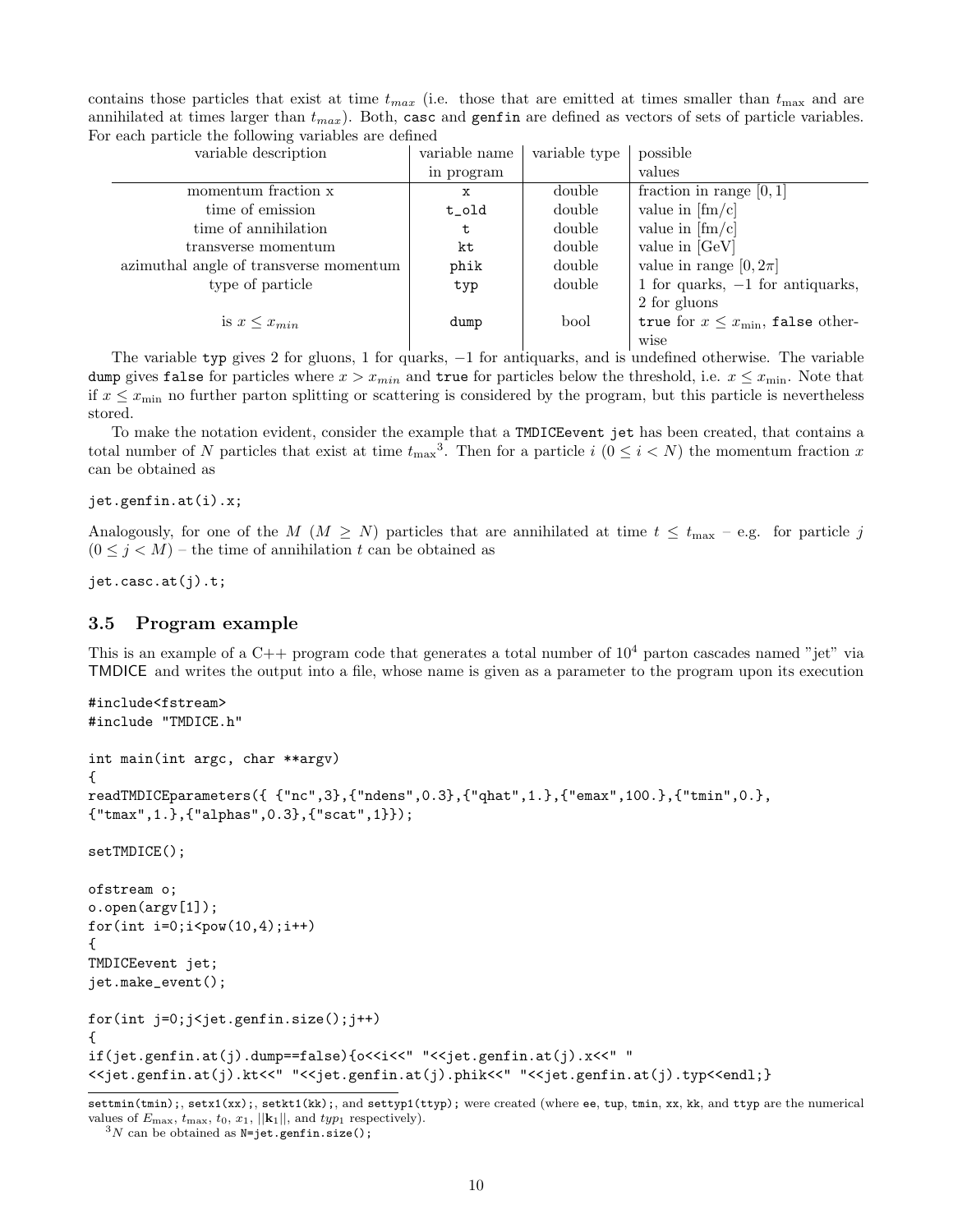| contains those particles that exist at time $t_{max}$ (i.e. those that are emitted at times smaller than $t_{max}$ and are |  |  |
|----------------------------------------------------------------------------------------------------------------------------|--|--|
| annihilated at times larger than $t_{max}$ ). Both, case and genfin are defined as vectors of sets of particle variables.  |  |  |
| For each particle the following variables are defined                                                                      |  |  |

| variable description                   | variable name | variable type | possible                                  |
|----------------------------------------|---------------|---------------|-------------------------------------------|
|                                        | in program    |               | values                                    |
| momentum fraction x                    | х             | double        | fraction in range $[0, 1]$                |
| time of emission                       | t_old         | double        | value in $[\text{fm/c}]$                  |
| time of annihilation                   |               | double        | value in $\left[\text{fm/c}\right]$       |
| transverse momentum                    | kt            | double        | value in $[GeV]$                          |
| azimuthal angle of transverse momentum | phik          | double        | value in range $[0, 2\pi]$                |
| type of particle                       | typ           | double        | 1 for quarks, $-1$ for antiquarks,        |
|                                        |               |               | 2 for gluons                              |
| is $x \leq x_{min}$                    | dump          | bool          | true for $x \leq x_{\min}$ , false other- |
|                                        |               |               | wise                                      |

The variable typ gives 2 for gluons, 1 for quarks, -1 for antiquarks, and is undefined otherwise. The variable dump gives false for particles where  $x > x_{min}$  and true for particles below the threshold, i.e.  $x \leq x_{min}$ . Note that if  $x \leq x_{\min}$  no further parton splitting or scattering is considered by the program, but this particle is nevertheless stored.

To make the notation evident, consider the example that a TMDICEevent jet has been created, that contains a total number of N particles that exist at time  $t_{\text{max}}^3$ . Then for a particle  $i \ (0 \leq i \leq N)$  the momentum fraction x can be obtained as

#### jet.genfin.at(i).x;

Analogously, for one of the M ( $M \geq N$ ) particles that are annihilated at time  $t \leq t_{\text{max}} - e.g.$  for particle j  $(0 \leq j \leq M)$  – the time of annihilation t can be obtained as

jet.casc.at(j).t;

#### 3.5 Program example

This is an example of a C++ program code that generates a total number of  $10^4$  parton cascades named "jet" via TMDICE and writes the output into a file, whose name is given as a parameter to the program upon its execution

```
#include<fstream>
#include "TMDICE.h"
int main(int argc, char **argv)
{
readTMDICEparameters({ {"nc",3},{"ndens",0.3},{"qhat",1.},{"emax",100.},{"tmin",0.},
{"tmax",1.},{"alphas",0.3},{"scat",1}});
setTMDICE();
ofstream o;
o.open(argv[1]);
for(int i=0; i < pow(10, 4); i++){
TMDICEevent jet;
jet.make_event();
for(int j=0;j<jet.genfin.size();j++)
{
if(jet.genfin.at(j).dump==false){o<<i<<" "<<jet.genfin.at(j).x<<" "
<<jet.genfin.at(j).kt<<" "<<jet.genfin.at(j).phik<<" "<<jet.genfin.at(j).typ<<endl;}
```
settmin(tmin);, setx1(xx);, setkt1(kk);, and settyp1(ttyp); were created (where ee, tup, tmin, xx, kk, and ttyp are the numerical values of  $E_{\text{max}}$ ,  $t_{\text{max}}$ ,  $t_0$ ,  $x_1$ ,  $||\mathbf{k}_1||$ , and  $typ_1$  respectively).

 $3N$  can be obtained as N=jet.genfin.size();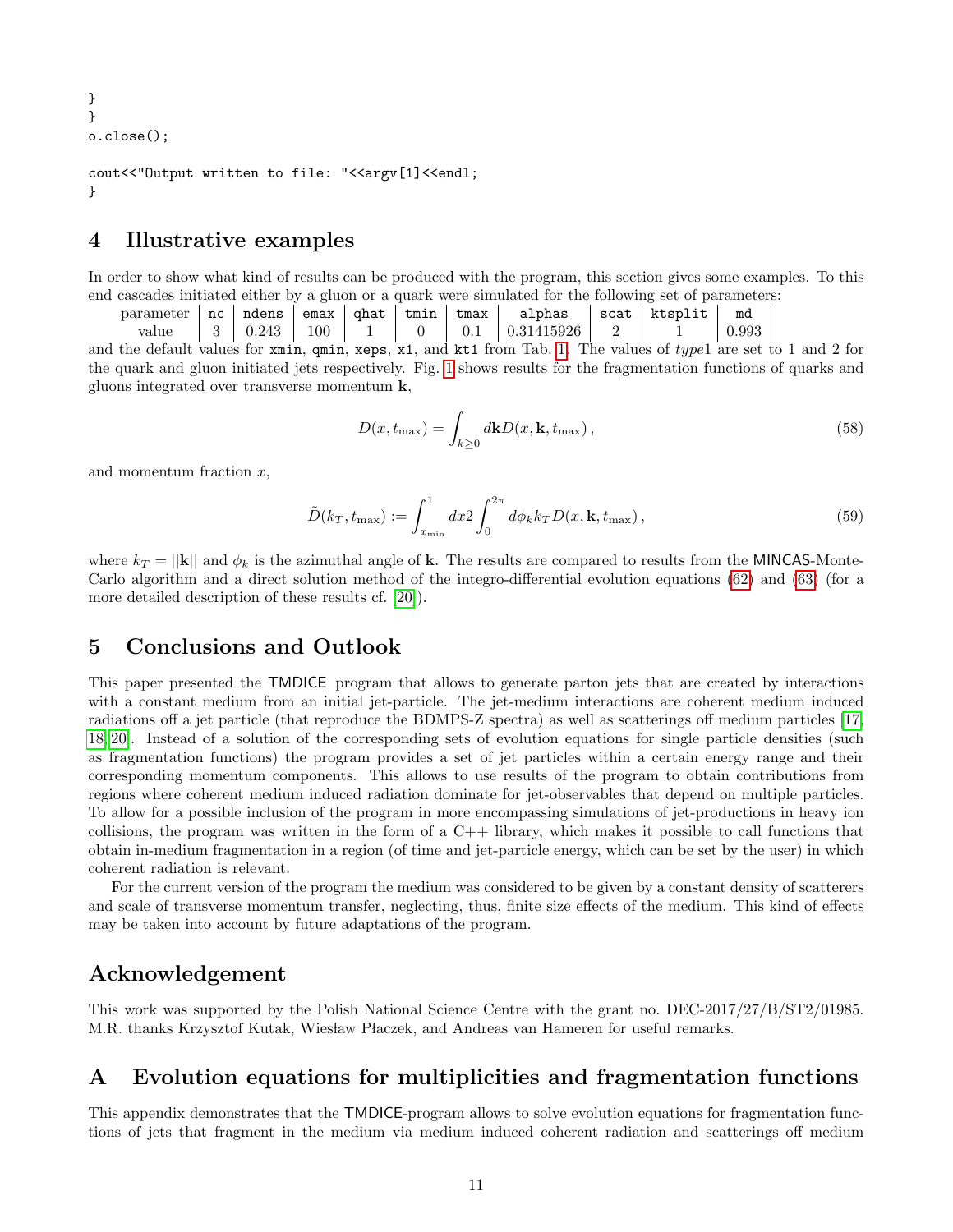```
}
}
o.close();
```

```
cout<<"Output written to file: "<<argv[1]<<endl;
}
```
## 4 Illustrative examples

In order to show what kind of results can be produced with the program, this section gives some examples. To this end cascades initiated either by a gluon or a quark were simulated for the following set of parameters:

parameter nc ndens emax qhat tmin tmax alphas scat ktsplit md value 3 0.243 100 1 0 0.1 0.31415926 2 1 0.993

and the default values for xmin, qmin, xeps, x1, and kt1 from Tab. [1.](#page-8-0) The values of type1 are set to 1 and 2 for the quark and gluon initiated jets respectively. Fig. [1](#page-11-0) shows results for the fragmentation functions of quarks and gluons integrated over transverse momentum k,

$$
D(x, t_{\max}) = \int_{k \ge 0} d\mathbf{k} D(x, \mathbf{k}, t_{\max}),
$$
\n(58)

and momentum fraction  $x$ ,

$$
\tilde{D}(k_T, t_{\text{max}}) := \int_{x_{\text{min}}}^1 dx \, 2 \int_0^{2\pi} d\phi_k k_T D(x, \mathbf{k}, t_{\text{max}}) \,, \tag{59}
$$

where  $k_T = ||\mathbf{k}||$  and  $\phi_k$  is the azimuthal angle of k. The results are compared to results from the MINCAS-Monte-Carlo algorithm and a direct solution method of the integro-differential evolution equations [\(62\)](#page-12-0) and [\(63\)](#page-12-1) (for a more detailed description of these results cf. [\[20\]](#page-14-11)).

### <span id="page-10-0"></span>5 Conclusions and Outlook

This paper presented the TMDICE program that allows to generate parton jets that are created by interactions with a constant medium from an initial jet-particle. The jet-medium interactions are coherent medium induced radiations off a jet particle (that reproduce the BDMPS-Z spectra) as well as scatterings off medium particles [\[17,](#page-14-8) [18,](#page-14-9) [20\]](#page-14-11). Instead of a solution of the corresponding sets of evolution equations for single particle densities (such as fragmentation functions) the program provides a set of jet particles within a certain energy range and their corresponding momentum components. This allows to use results of the program to obtain contributions from regions where coherent medium induced radiation dominate for jet-observables that depend on multiple particles. To allow for a possible inclusion of the program in more encompassing simulations of jet-productions in heavy ion collisions, the program was written in the form of a  $C_{++}$  library, which makes it possible to call functions that obtain in-medium fragmentation in a region (of time and jet-particle energy, which can be set by the user) in which coherent radiation is relevant.

For the current version of the program the medium was considered to be given by a constant density of scatterers and scale of transverse momentum transfer, neglecting, thus, finite size effects of the medium. This kind of effects may be taken into account by future adaptations of the program.

## Acknowledgement

This work was supported by the Polish National Science Centre with the grant no. DEC-2017/27/B/ST2/01985. M.R. thanks Krzysztof Kutak, Wiesław Płaczek, and Andreas van Hameren for useful remarks.

## <span id="page-10-1"></span>A Evolution equations for multiplicities and fragmentation functions

This appendix demonstrates that the TMDICE-program allows to solve evolution equations for fragmentation functions of jets that fragment in the medium via medium induced coherent radiation and scatterings off medium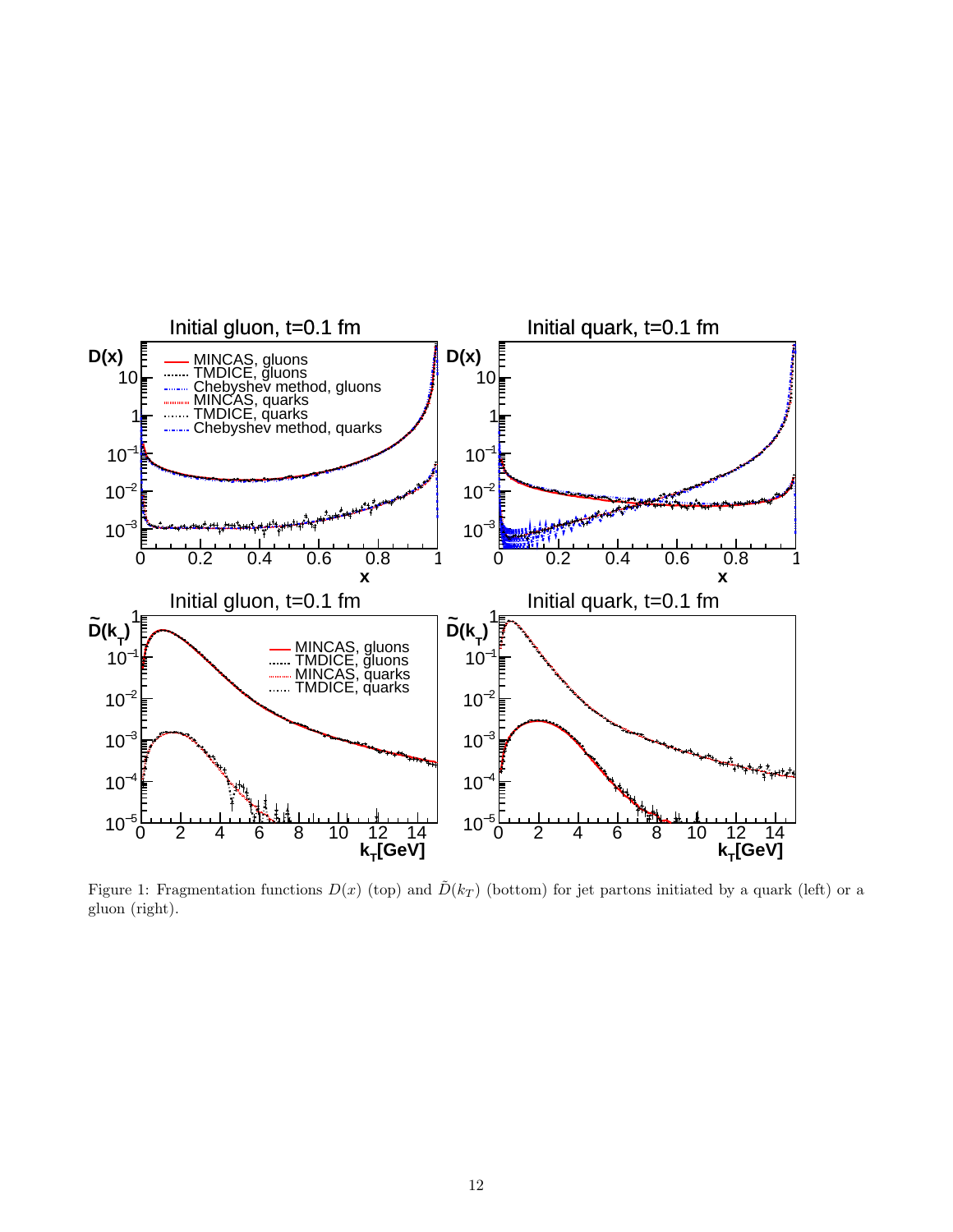

<span id="page-11-0"></span>Figure 1: Fragmentation functions  $D(x)$  (top) and  $\tilde{D}(k_T)$  (bottom) for jet partons initiated by a quark (left) or a gluon (right).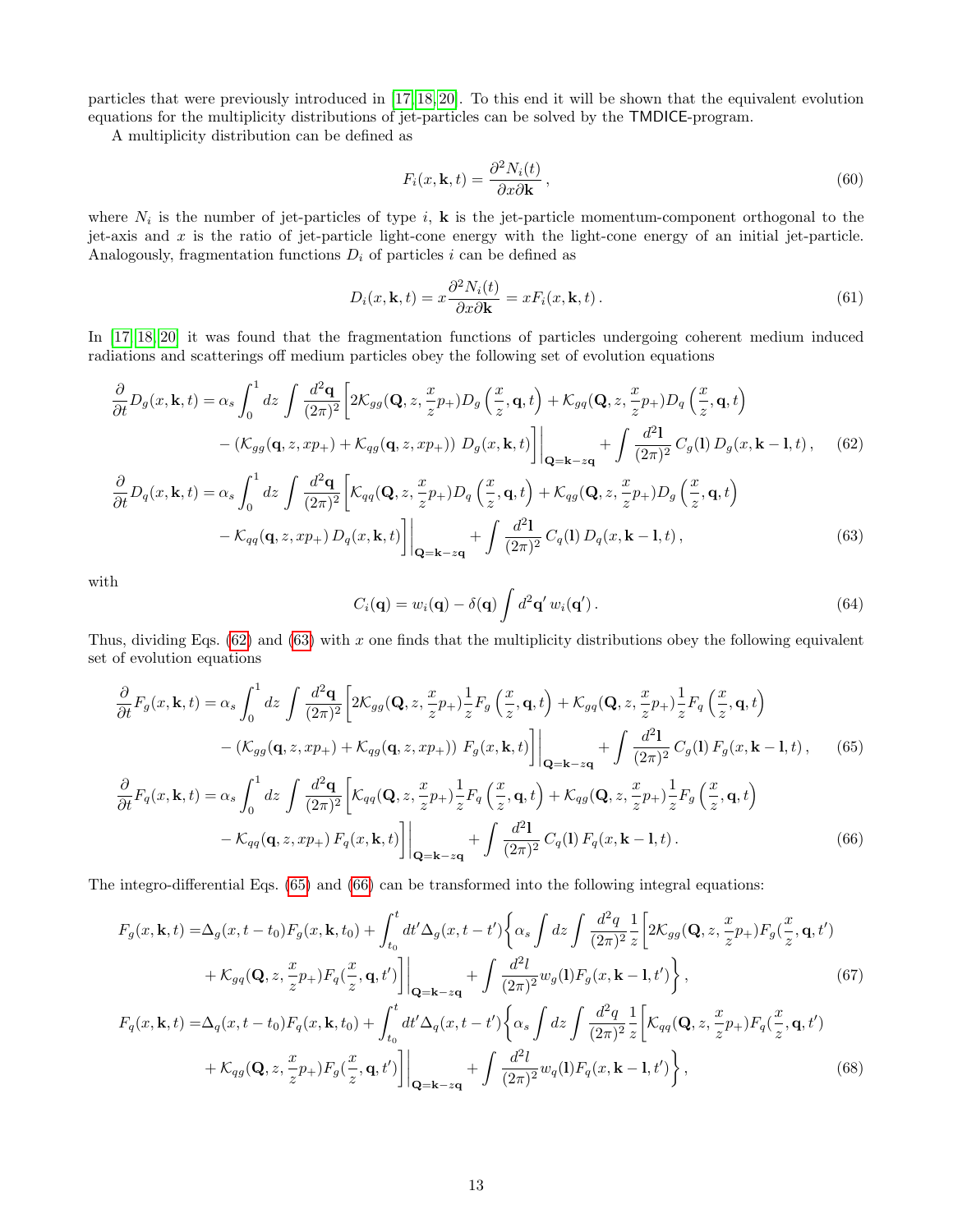particles that were previously introduced in [\[17,](#page-14-8) [18,](#page-14-9) [20\]](#page-14-11). To this end it will be shown that the equivalent evolution equations for the multiplicity distributions of jet-particles can be solved by the TMDICE-program.

A multiplicity distribution can be defined as

$$
F_i(x, \mathbf{k}, t) = \frac{\partial^2 N_i(t)}{\partial x \partial \mathbf{k}},
$$
\n(60)

where  $N_i$  is the number of jet-particles of type i, **k** is the jet-particle momentum-component orthogonal to the jet-axis and  $x$  is the ratio of jet-particle light-cone energy with the light-cone energy of an initial jet-particle. Analogously, fragmentation functions  $D_i$  of particles i can be defined as

<span id="page-12-4"></span>
$$
D_i(x, \mathbf{k}, t) = x \frac{\partial^2 N_i(t)}{\partial x \partial \mathbf{k}} = x F_i(x, \mathbf{k}, t).
$$
\n(61)

In [\[17,](#page-14-8) [18,](#page-14-9) [20\]](#page-14-11) it was found that the fragmentation functions of particles undergoing coherent medium induced radiations and scatterings off medium particles obey the following set of evolution equations

$$
\frac{\partial}{\partial t}D_g(x, \mathbf{k}, t) = \alpha_s \int_0^1 dz \int \frac{d^2 \mathbf{q}}{(2\pi)^2} \left[ 2\mathcal{K}_{gg}(\mathbf{Q}, z, \frac{x}{z} p_+) D_g\left(\frac{x}{z}, \mathbf{q}, t\right) + \mathcal{K}_{gq}(\mathbf{Q}, z, \frac{x}{z} p_+) D_q\left(\frac{x}{z}, \mathbf{q}, t\right) \right. \\
\left. - (\mathcal{K}_{gg}(\mathbf{q}, z, xp_+) + \mathcal{K}_{qg}(\mathbf{q}, z, xp_+)) D_g(x, \mathbf{k}, t) \right] \Big|_{\mathbf{Q} = \mathbf{k} - z\mathbf{q}} + \int \frac{d^2 \mathbf{l}}{(2\pi)^2} C_g(\mathbf{l}) D_g(x, \mathbf{k} - \mathbf{l}, t), \quad (62)
$$
\n
$$
\frac{\partial}{\partial t} D_g(x, \mathbf{k}, t) = \alpha_s \int_0^1 dz \int \frac{d^2 \mathbf{q}}{(2\pi)^2} \left[ \mathcal{K}_{qq}(\mathbf{Q}, z, \frac{x}{z} p_+) D_g\left(\frac{x}{z}, \mathbf{q}, t\right) + \mathcal{K}_{qg}(\mathbf{Q}, z, \frac{x}{z} p_+) D_g\left(\frac{x}{z}, \mathbf{q}, t\right) \right. \\
\left. - \mathcal{K}_{qq}(\mathbf{q}, z, xp_+) D_g(x, \mathbf{k}, t) \right] \Big|_{\mathbf{Q} = \mathbf{k} - z\mathbf{q}} + \int \frac{d^2 \mathbf{l}}{(2\pi)^2} C_g(\mathbf{l}) D_g(x, \mathbf{k} - \mathbf{l}, t), \quad (63)
$$

with

<span id="page-12-3"></span><span id="page-12-2"></span><span id="page-12-1"></span><span id="page-12-0"></span>
$$
C_i(\mathbf{q}) = w_i(\mathbf{q}) - \delta(\mathbf{q}) \int d^2 \mathbf{q}' w_i(\mathbf{q}'). \qquad (64)
$$

Thus, dividing Eqs.  $(62)$  and  $(63)$  with x one finds that the multiplicity distributions obey the following equivalent set of evolution equations

$$
\frac{\partial}{\partial t}F_g(x, \mathbf{k}, t) = \alpha_s \int_0^1 dz \int \frac{d^2 \mathbf{q}}{(2\pi)^2} \left[ 2\mathcal{K}_{gg}(\mathbf{Q}, z, \frac{x}{z}p_+) \frac{1}{z} F_g\left(\frac{x}{z}, \mathbf{q}, t\right) + \mathcal{K}_{gq}(\mathbf{Q}, z, \frac{x}{z}p_+) \frac{1}{z} F_q\left(\frac{x}{z}, \mathbf{q}, t\right) \right. \\
\left. - (\mathcal{K}_{gg}(\mathbf{q}, z, xp_+) + \mathcal{K}_{qg}(\mathbf{q}, z, xp_+)) F_g(x, \mathbf{k}, t) \right] \Big|_{\mathbf{Q} = \mathbf{k} - z\mathbf{q}} + \int \frac{d^2 \mathbf{l}}{(2\pi)^2} C_g(\mathbf{l}) F_g(x, \mathbf{k} - \mathbf{l}, t), \qquad (65)
$$
\n
$$
\frac{\partial}{\partial t} F_q(x, \mathbf{k}, t) = \alpha_s \int_0^1 dz \int \frac{d^2 \mathbf{q}}{(2\pi)^2} \left[ \mathcal{K}_{qq}(\mathbf{Q}, z, \frac{x}{z}p_+) \frac{1}{z} F_q\left(\frac{x}{z}, \mathbf{q}, t\right) + \mathcal{K}_{qg}(\mathbf{Q}, z, \frac{x}{z}p_+) \frac{1}{z} F_g\left(\frac{x}{z}, \mathbf{q}, t\right) \right. \\
\left. - \mathcal{K}_{qq}(\mathbf{q}, z, xp_+) F_q(x, \mathbf{k}, t) \right] \Big|_{\mathbf{Q} = \mathbf{k} - z\mathbf{q}} + \int \frac{d^2 \mathbf{l}}{(2\pi)^2} C_g(\mathbf{l}) F_q(x, \mathbf{k} - \mathbf{l}, t).
$$
\n(66)

The integro-differential Eqs. [\(65\)](#page-12-2) and [\(66\)](#page-12-3) can be transformed into the following integral equations:

$$
F_g(x, \mathbf{k}, t) = \Delta_g(x, t - t_0) F_g(x, \mathbf{k}, t_0) + \int_{t_0}^t dt' \Delta_g(x, t - t') \left\{ \alpha_s \int dz \int \frac{d^2 q}{(2\pi)^2} \frac{1}{z} \left[ 2\mathcal{K}_{gg}(\mathbf{Q}, z, \frac{x}{z} p_+) F_g(\frac{x}{z}, \mathbf{q}, t') \right] + \mathcal{K}_{gq}(\mathbf{Q}, z, \frac{x}{z} p_+) F_q(\frac{x}{z}, \mathbf{q}, t') \right\} \Big|_{\mathbf{Q} = \mathbf{k} - z\mathbf{q}} + \int \frac{d^2 l}{(2\pi)^2} w_g(l) F_g(x, \mathbf{k} - l, t') \Bigg\},
$$
(67)

$$
F_q(x, \mathbf{k}, t) = \Delta_q(x, t - t_0) F_q(x, \mathbf{k}, t_0) + \int_{t_0}^t dt' \Delta_q(x, t - t') \left\{ \alpha_s \int dz \int \frac{d^2q}{(2\pi)^2} \frac{1}{z} \left[ \mathcal{K}_{qq}(\mathbf{Q}, z, \frac{x}{z} p_+) F_q(\frac{x}{z}, \mathbf{q}, t') \right] + \mathcal{K}_{qg}(\mathbf{Q}, z, \frac{x}{z} p_+) F_g(\frac{x}{z}, \mathbf{q}, t') \right\} \Big|_{\mathbf{Q} = \mathbf{k} - z\mathbf{q}} + \int \frac{d^2l}{(2\pi)^2} w_q(l) F_q(x, \mathbf{k} - l, t') \Bigg\},
$$
(68)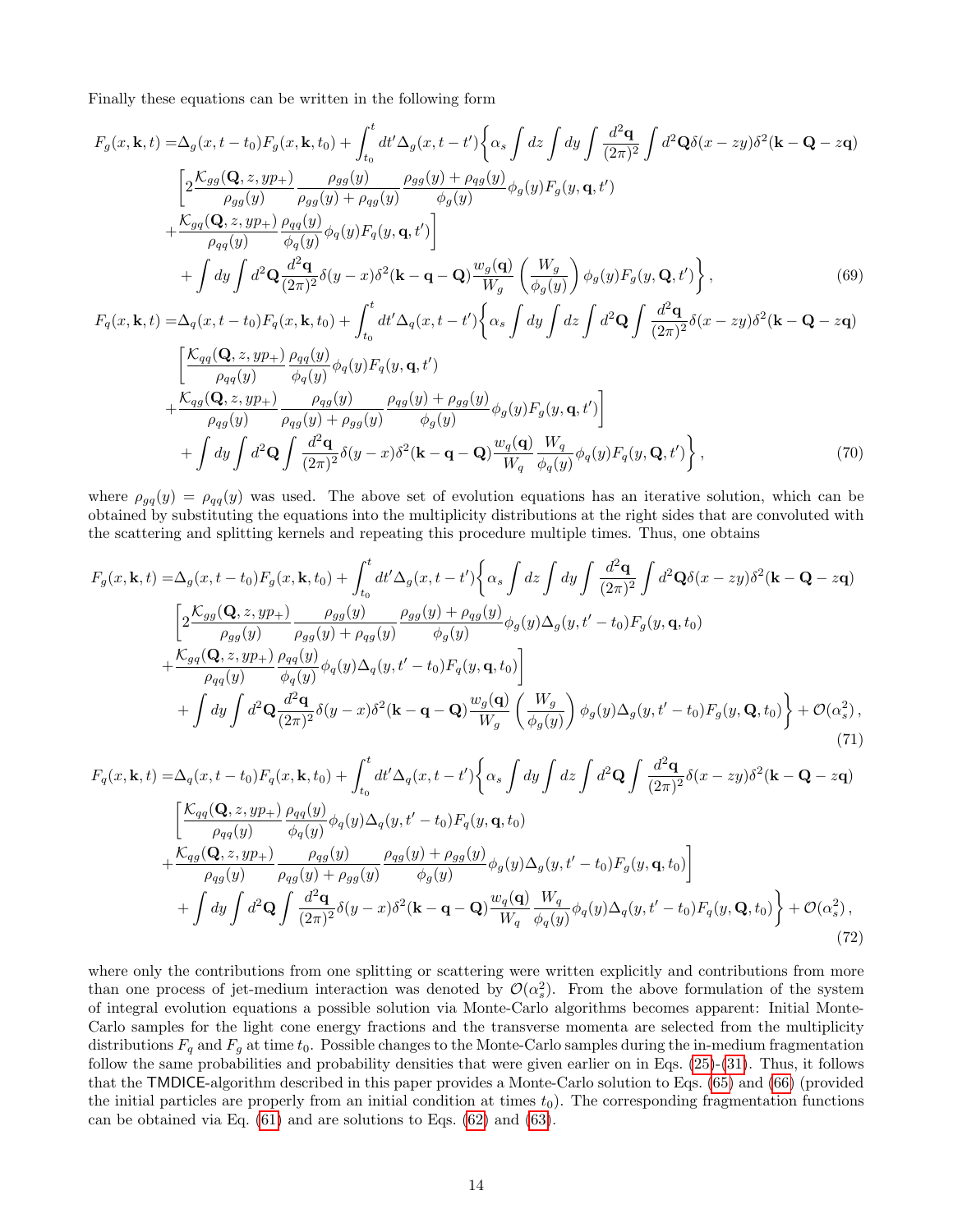Finally these equations can be written in the following form

$$
F_g(x, \mathbf{k}, t) = \Delta_g(x, t - t_0) F_g(x, \mathbf{k}, t_0) + \int_{t_0}^t dt' \Delta_g(x, t - t') \left\{ \alpha_s \int dz \int dy \int \frac{d^2 \mathbf{q}}{(2\pi)^2} \int d^2 \mathbf{Q} \delta(x - zy) \delta^2(\mathbf{k} - \mathbf{Q} - z\mathbf{q}) \right\}
$$
  
\n
$$
\left[ 2 \frac{\mathcal{K}_{gg}(\mathbf{Q}, z, yp_+) }{\rho_{gg}(y)} \frac{\rho_{gg}(y)}{\rho_{gg}(y) + \rho_{qg}(y)} \frac{\rho_{gg}(y) + \rho_{qg}(y)}{\phi_g(y)} \phi_g(y) F_g(y, \mathbf{q}, t') \right]
$$
  
\n
$$
+ \frac{\mathcal{K}_{gq}(\mathbf{Q}, z, yp_+) }{\rho_{qq}(y)} \frac{\rho_{qq}(y)}{\phi_q(y)} \phi_q(y) F_q(y, \mathbf{q}, t') \right]
$$
  
\n
$$
+ \int dy \int d^2 \mathbf{Q} \frac{d^2 \mathbf{q}}{(2\pi)^2} \delta(y - x) \delta^2(\mathbf{k} - \mathbf{q} - \mathbf{Q}) \frac{w_g(\mathbf{q})}{W_g} \left( \frac{W_g}{\phi_g(y)} \right) \phi_g(y) F_g(y, \mathbf{Q}, t') \right\},
$$
  
\n
$$
F(x, \mathbf{k} + \mathbf{q}) = \Delta_x(x, t - t_0) F_x(x, \mathbf{k} + t_0) + \int_t^t dt' \Delta_y(x, t - t') \int_{\mathcal{R}} \int_{\mathcal{R}} dx \int_{\mathcal{R}} dz \int_{\mathcal{R}} d^2 \mathbf{Q} \int_{\mathcal{R}} d^2 \mathbf{q} \delta(x - zg) \delta^2(\mathbf{k} - \mathbf{Q} - z\mathbf{q})
$$
  
\n(69)

$$
F_q(x, \mathbf{k}, t) = \Delta_q(x, t - t_0) F_q(x, \mathbf{k}, t_0) + \int_{t_0}^t dt' \Delta_q(x, t - t') \left\{ \alpha_s \int dy \int dz \int d^2 \mathbf{Q} \int \frac{d^2 \mathbf{q}}{(2\pi)^2} \delta(x - zy) \delta^2(\mathbf{k} - \mathbf{Q} - z\mathbf{q}) \right\}
$$
  

$$
\left[ \frac{\mathcal{K}_{qq}(\mathbf{Q}, z, yp_+)}{\rho_{qq}(y)} \frac{\rho_{qq}(y)}{\phi_q(y)} \phi_q(y) F_q(y, \mathbf{q}, t') + \frac{\mathcal{K}_{qg}(\mathbf{Q}, z, yp_+)}{\rho_{qg}(y)} \frac{\rho_{qg}(y)}{\rho_{qg}(y)} + \rho_{gg}(y) \frac{\rho_{qg}(y) + \rho_{gg}(y)}{\phi_g(y)} \phi_g(y) F_g(y, \mathbf{q}, t') \right]
$$
  
+ 
$$
\int dy \int d^2 \mathbf{Q} \int \frac{d^2 \mathbf{q}}{(2\pi)^2} \delta(y - x) \delta^2(\mathbf{k} - \mathbf{q} - \mathbf{Q}) \frac{w_q(\mathbf{q})}{W_q} \frac{W_q}{\phi_q(y)} \phi_q(y) F_q(y, \mathbf{Q}, t') \right\},
$$
(70)

where  $\rho_{gq}(y) = \rho_{qq}(y)$  was used. The above set of evolution equations has an iterative solution, which can be obtained by substituting the equations into the multiplicity distributions at the right sides that are convoluted with the scattering and splitting kernels and repeating this procedure multiple times. Thus, one obtains

$$
F_g(x, \mathbf{k}, t) = \Delta_g(x, t - t_0) F_g(x, \mathbf{k}, t_0) + \int_{t_0}^t dt' \Delta_g(x, t - t') \left\{ \alpha_s \int dz \int dy \int \frac{d^2 \mathbf{q}}{(2\pi)^2} \int d^2 \mathbf{Q} \delta(x - zy) \delta^2(\mathbf{k} - \mathbf{Q} - z\mathbf{q}) \right\}
$$
  
\n
$$
\left[ 2 \frac{\mathcal{K}_{gg}(\mathbf{Q}, z, yp_+) - \rho_{gg}(y)}{\rho_{gg}(y) - \rho_{gg}(y) + \rho_{qg}(y)} \frac{\rho_{gg}(y) + \rho_{qg}(y)}{\phi_g(y)} \phi_g(y) \Delta_g(y, t' - t_0) F_g(y, \mathbf{q}, t_0) \right]
$$
  
\n
$$
+ \frac{\mathcal{K}_{gq}(\mathbf{Q}, z, yp_+)}{\rho_{qq}(y) - \phi_q(y)} \frac{\rho_{qq}(y)}{\phi_q(y)} \phi_q(y) \Delta_q(y, t' - t_0) F_q(y, \mathbf{q}, t_0) \right]
$$
  
\n
$$
+ \int dy \int d^2 \mathbf{Q} \frac{d^2 \mathbf{q}}{(2\pi)^2} \delta(y - x) \delta^2(\mathbf{k} - \mathbf{q} - \mathbf{Q}) \frac{w_g(\mathbf{q})}{W_g} \left( \frac{W_g}{\phi_g(y)} \right) \phi_g(y) \Delta_g(y, t' - t_0) F_g(y, \mathbf{Q}, t_0) \right\} + \mathcal{O}(\alpha_s^2),
$$
\n(71)

$$
F_q(x, \mathbf{k}, t) = \Delta_q(x, t - t_0) F_q(x, \mathbf{k}, t_0) + \int_{t_0}^t dt' \Delta_q(x, t - t') \left\{ \alpha_s \int dy \int dz \int d^2 \mathbf{Q} \int \frac{d^2 \mathbf{q}}{(2\pi)^2} \delta(x - zy) \delta^2(\mathbf{k} - \mathbf{Q} - z\mathbf{q}) \right\}
$$
  

$$
\left[ \frac{\mathcal{K}_{qq}(\mathbf{Q}, z, yp_+) }{\rho_{qq}(y)} \frac{\rho_{qq}(y)}{\phi_q(y)} \phi_q(y) \Delta_q(y, t' - t_0) F_q(y, \mathbf{q}, t_0) + \frac{\mathcal{K}_{qg}(\mathbf{Q}, z, yp_+) }{\rho_{qg}(y)} \frac{\rho_{qg}(y)}{\rho_{qg}(y) + \rho_{gg}(y)} \frac{\rho_{qg}(y) + \rho_{gg}(y)}{\phi_g(y)} \phi_g(y) \Delta_q(y, t' - t_0) F_g(y, \mathbf{q}, t_0) \right]
$$
  
+ 
$$
\int dy \int d^2 \mathbf{Q} \int \frac{d^2 \mathbf{q}}{(2\pi)^2} \delta(y - x) \delta^2(\mathbf{k} - \mathbf{q} - \mathbf{Q}) \frac{w_q(\mathbf{q})}{W_q} \frac{W_q}{\phi_q(y)} \phi_q(y) \Delta_q(y, t' - t_0) F_q(y, \mathbf{Q}, t_0) \right\} + \mathcal{O}(\alpha_s^2), \tag{72}
$$

where only the contributions from one splitting or scattering were written explicitly and contributions from more than one process of jet-medium interaction was denoted by  $\mathcal{O}(\alpha_s^2)$ . From the above formulation of the system of integral evolution equations a possible solution via Monte-Carlo algorithms becomes apparent: Initial Monte-Carlo samples for the light cone energy fractions and the transverse momenta are selected from the multiplicity distributions  $F_q$  and  $F_q$  at time  $t_0$ . Possible changes to the Monte-Carlo samples during the in-medium fragmentation follow the same probabilities and probability densities that were given earlier on in Eqs. [\(25\)](#page-3-0)-[\(31\)](#page-3-1). Thus, it follows that the TMDICE-algorithm described in this paper provides a Monte-Carlo solution to Eqs. [\(65\)](#page-12-2) and [\(66\)](#page-12-3) (provided the initial particles are properly from an initial condition at times  $t_0$ ). The corresponding fragmentation functions can be obtained via Eq. [\(61\)](#page-12-4) and are solutions to Eqs. [\(62\)](#page-12-0) and [\(63\)](#page-12-1).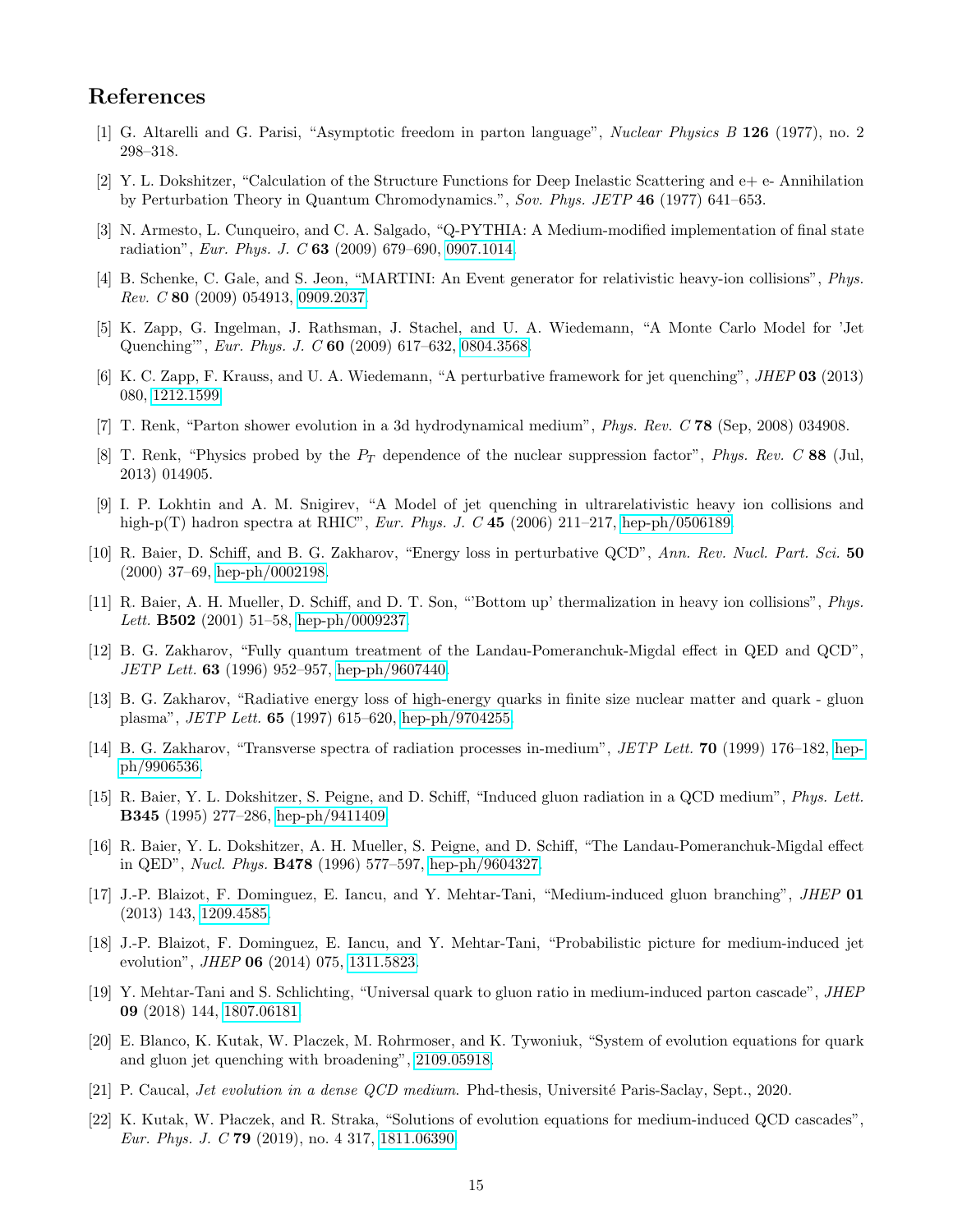## References

- <span id="page-14-0"></span>[1] G. Altarelli and G. Parisi, "Asymptotic freedom in parton language", Nuclear Physics B 126 (1977), no. 2 298–318.
- <span id="page-14-1"></span>[2] Y. L. Dokshitzer, "Calculation of the Structure Functions for Deep Inelastic Scattering and e+ e- Annihilation by Perturbation Theory in Quantum Chromodynamics.", Sov. Phys. JETP 46 (1977) 641–653.
- <span id="page-14-2"></span>[3] N. Armesto, L. Cunqueiro, and C. A. Salgado, "Q-PYTHIA: A Medium-modified implementation of final state radiation", Eur. Phys. J. C 63 (2009) 679–690, [0907.1014.](http://www.arXiv.org/abs/0907.1014)
- [4] B. Schenke, C. Gale, and S. Jeon, "MARTINI: An Event generator for relativistic heavy-ion collisions", Phys. Rev. C 80 (2009) 054913, [0909.2037.](http://www.arXiv.org/abs/0909.2037)
- <span id="page-14-6"></span>[5] K. Zapp, G. Ingelman, J. Rathsman, J. Stachel, and U. A. Wiedemann, "A Monte Carlo Model for 'Jet Quenching'", Eur. Phys. J. C 60 (2009) 617–632, [0804.3568.](http://www.arXiv.org/abs/0804.3568)
- <span id="page-14-7"></span>[6] K. C. Zapp, F. Krauss, and U. A. Wiedemann, "A perturbative framework for jet quenching", JHEP 03 (2013) 080, [1212.1599.](http://www.arXiv.org/abs/1212.1599)
- [7] T. Renk, "Parton shower evolution in a 3d hydrodynamical medium", Phys. Rev. C 78 (Sep, 2008) 034908.
- [8] T. Renk, "Physics probed by the  $P_T$  dependence of the nuclear suppression factor", Phys. Rev. C 88 (Jul, 2013) 014905.
- <span id="page-14-3"></span>[9] I. P. Lokhtin and A. M. Snigirev, "A Model of jet quenching in ultrarelativistic heavy ion collisions and high-p(T) hadron spectra at RHIC", *Eur. Phys. J. C* 45 (2006) 211–217, [hep-ph/0506189.](http://www.arXiv.org/abs/hep-ph/0506189)
- <span id="page-14-4"></span>[10] R. Baier, D. Schiff, and B. G. Zakharov, "Energy loss in perturbative QCD", Ann. Rev. Nucl. Part. Sci. 50 (2000) 37–69, [hep-ph/0002198.](http://www.arXiv.org/abs/hep-ph/0002198)
- [11] R. Baier, A. H. Mueller, D. Schiff, and D. T. Son, "'Bottom up' thermalization in heavy ion collisions", Phys. Lett. B502 (2001) 51–58, [hep-ph/0009237.](http://www.arXiv.org/abs/hep-ph/0009237)
- [12] B. G. Zakharov, "Fully quantum treatment of the Landau-Pomeranchuk-Migdal effect in QED and QCD", JETP Lett. 63 (1996) 952–957, [hep-ph/9607440.](http://www.arXiv.org/abs/hep-ph/9607440)
- [13] B. G. Zakharov, "Radiative energy loss of high-energy quarks in finite size nuclear matter and quark gluon plasma", JETP Lett. 65 (1997) 615–620, [hep-ph/9704255.](http://www.arXiv.org/abs/hep-ph/9704255)
- [14] B. G. Zakharov, "Transverse spectra of radiation processes in-medium", JETP Lett. 70 (1999) 176–182, [hep](http://www.arXiv.org/abs/hep-ph/9906536)[ph/9906536.](http://www.arXiv.org/abs/hep-ph/9906536)
- [15] R. Baier, Y. L. Dokshitzer, S. Peigne, and D. Schiff, "Induced gluon radiation in a QCD medium", Phys. Lett. B345 (1995) 277–286, [hep-ph/9411409.](http://www.arXiv.org/abs/hep-ph/9411409)
- <span id="page-14-5"></span>[16] R. Baier, Y. L. Dokshitzer, A. H. Mueller, S. Peigne, and D. Schiff, "The Landau-Pomeranchuk-Migdal effect in QED", Nucl. Phys. B478 (1996) 577–597, [hep-ph/9604327.](http://www.arXiv.org/abs/hep-ph/9604327)
- <span id="page-14-8"></span>[17] J.-P. Blaizot, F. Dominguez, E. Iancu, and Y. Mehtar-Tani, "Medium-induced gluon branching", JHEP 01 (2013) 143, [1209.4585.](http://www.arXiv.org/abs/1209.4585)
- <span id="page-14-9"></span>[18] J.-P. Blaizot, F. Dominguez, E. Iancu, and Y. Mehtar-Tani, "Probabilistic picture for medium-induced jet evolution", JHEP 06 (2014) 075, [1311.5823.](http://www.arXiv.org/abs/1311.5823)
- <span id="page-14-10"></span>[19] Y. Mehtar-Tani and S. Schlichting, "Universal quark to gluon ratio in medium-induced parton cascade", JHEP 09 (2018) 144, [1807.06181.](http://www.arXiv.org/abs/1807.06181)
- <span id="page-14-11"></span>[20] E. Blanco, K. Kutak, W. Placzek, M. Rohrmoser, and K. Tywoniuk, "System of evolution equations for quark and gluon jet quenching with broadening", [2109.05918.](http://www.arXiv.org/abs/2109.05918)
- <span id="page-14-12"></span>[21] P. Caucal, *Jet evolution in a dense QCD medium*. Phd-thesis, Université Paris-Saclay, Sept., 2020.
- <span id="page-14-13"></span>[22] K. Kutak, W. Płaczek, and R. Straka, "Solutions of evolution equations for medium-induced QCD cascades", Eur. Phys. J. C 79 (2019), no. 4 317, [1811.06390.](http://www.arXiv.org/abs/1811.06390)